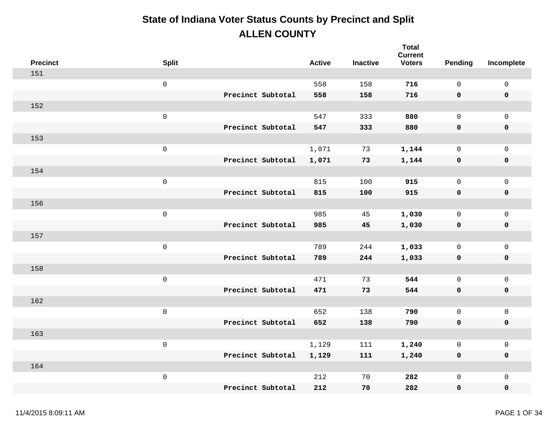| <b>Precinct</b> | <b>Split</b>        |                   | <b>Active</b> | <b>Inactive</b> | <b>Total</b><br><b>Current</b><br><b>Voters</b> | Pending      | Incomplete          |
|-----------------|---------------------|-------------------|---------------|-----------------|-------------------------------------------------|--------------|---------------------|
| 151             |                     |                   |               |                 |                                                 |              |                     |
|                 | $\mathsf{O}\xspace$ |                   | 558           | 158             | 716                                             | $\mathbf 0$  | $\mathsf{O}\xspace$ |
|                 |                     | Precinct Subtotal | 558           | 158             | 716                                             | 0            | $\pmb{0}$           |
| 152             |                     |                   |               |                 |                                                 |              |                     |
|                 | $\mathsf 0$         |                   | 547           | 333             | 880                                             | $\mathsf{O}$ | $\mathbf 0$         |
|                 |                     | Precinct Subtotal | 547           | 333             | 880                                             | 0            | $\pmb{0}$           |
| 153             |                     |                   |               |                 |                                                 |              |                     |
|                 | $\mathsf 0$         |                   | 1,071         | 73              | 1,144                                           | $\mathsf{O}$ | $\mathsf{O}\xspace$ |
|                 |                     | Precinct Subtotal | 1,071         | 73              | 1,144                                           | 0            | $\pmb{0}$           |
| 154             |                     |                   |               |                 |                                                 |              |                     |
|                 | $\mathsf 0$         |                   | 815           | 100             | 915                                             | $\mathsf{O}$ | $\mathbf 0$         |
|                 |                     | Precinct Subtotal | 815           | 100             | 915                                             | $\mathbf 0$  | $\pmb{0}$           |
| 156             |                     |                   |               |                 |                                                 |              |                     |
|                 | $\mathsf 0$         |                   | 985           | 45              | 1,030                                           | $\mathsf{O}$ | $\mathsf{O}\xspace$ |
|                 |                     | Precinct Subtotal | 985           | 45              | 1,030                                           | 0            | $\pmb{0}$           |
| 157             |                     |                   |               |                 |                                                 |              |                     |
|                 | $\mathsf{O}\xspace$ |                   | 789           | 244             | 1,033                                           | $\mathsf{O}$ | $\mathsf{O}\xspace$ |
|                 |                     | Precinct Subtotal | 789           | 244             | 1,033                                           | $\mathbf 0$  | $\pmb{0}$           |
| 158             |                     |                   |               |                 |                                                 |              |                     |
|                 | $\mathsf 0$         |                   | 471           | 73              | 544                                             | $\mathsf{O}$ | $\mathsf{O}\xspace$ |
|                 |                     | Precinct Subtotal | 471           | 73              | 544                                             | 0            | $\pmb{0}$           |
| 162             |                     |                   |               |                 |                                                 |              |                     |
|                 | $\mathsf 0$         |                   | 652           | 138             | 790                                             | $\mathsf{O}$ | $\mathbf 0$         |
|                 |                     | Precinct Subtotal | 652           | 138             | 790                                             | $\mathbf 0$  | $\pmb{0}$           |
| 163             |                     |                   |               |                 |                                                 |              |                     |
|                 | $\mathsf 0$         |                   | 1,129         | 111             | 1,240                                           | $\mathsf{O}$ | $\mathsf{O}\xspace$ |
|                 |                     | Precinct Subtotal | 1,129         | 111             | 1,240                                           | 0            | $\pmb{0}$           |
| 164             |                     |                   |               |                 |                                                 |              |                     |
|                 | $\mathsf 0$         |                   | 212           | 70              | 282                                             | 0            | $\mathbf 0$         |
|                 |                     | Precinct Subtotal | 212           | 70              | 282                                             | 0            | $\mathbf 0$         |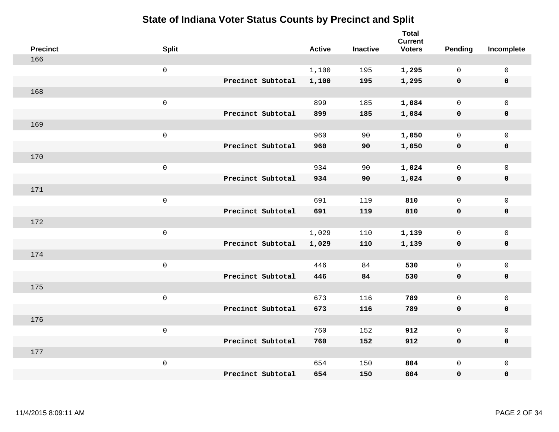| <b>Precinct</b> | <b>Split</b>        |                   | <b>Active</b> | <b>Inactive</b> | <b>Total</b><br><b>Current</b><br><b>Voters</b> | <b>Pending</b> | Incomplete          |
|-----------------|---------------------|-------------------|---------------|-----------------|-------------------------------------------------|----------------|---------------------|
| 166             |                     |                   |               |                 |                                                 |                |                     |
|                 | $\mathsf{O}\xspace$ |                   | 1,100         | 195             | 1,295                                           | $\mathbf 0$    | 0                   |
|                 |                     | Precinct Subtotal | 1,100         | 195             | 1,295                                           | $\mathbf 0$    | $\mathbf 0$         |
| 168             |                     |                   |               |                 |                                                 |                |                     |
|                 | $\mathsf 0$         |                   | 899           | 185             | 1,084                                           | $\mathbf 0$    | $\mathbf 0$         |
|                 |                     | Precinct Subtotal | 899           | 185             | 1,084                                           | $\mathbf 0$    | $\pmb{0}$           |
| 169             |                     |                   |               |                 |                                                 |                |                     |
|                 | $\mathsf 0$         |                   | 960           | 90              | 1,050                                           | $\mathsf{O}$   | $\mathbf 0$         |
|                 |                     | Precinct Subtotal | 960           | 90              | 1,050                                           | $\mathbf 0$    | $\pmb{0}$           |
| 170             |                     |                   |               |                 |                                                 |                |                     |
|                 | $\mathsf 0$         |                   | 934           | 90              | 1,024                                           | $\mathsf{O}$   | $\mathsf{O}$        |
|                 |                     | Precinct Subtotal | 934           | 90              | 1,024                                           | $\mathbf 0$    | $\pmb{0}$           |
| 171             |                     |                   |               |                 |                                                 |                |                     |
|                 | $\mathsf 0$         |                   | 691           | 119             | 810                                             | $\mathbf 0$    | $\mathsf{O}\xspace$ |
|                 |                     | Precinct Subtotal | 691           | 119             | 810                                             | $\mathbf 0$    | $\mathbf 0$         |
| 172             |                     |                   |               |                 |                                                 |                |                     |
|                 | $\mathsf{O}\xspace$ |                   | 1,029         | 110             | 1,139                                           | $\mathsf{O}$   | $\mathsf{O}\xspace$ |
|                 |                     | Precinct Subtotal | 1,029         | 110             | 1,139                                           | $\mathbf 0$    | $\pmb{0}$           |
| 174             |                     |                   |               |                 |                                                 |                |                     |
|                 | $\mathsf{O}$        |                   | 446           | 84              | 530                                             | $\mathbf 0$    | $\mathsf{O}$        |
|                 |                     | Precinct Subtotal | 446           | 84              | 530                                             | 0              | $\mathbf 0$         |
| 175             |                     |                   |               |                 |                                                 |                |                     |
|                 | $\mathsf 0$         |                   | 673           | 116             | 789                                             | $\mathsf{O}$   | $\mathsf{O}$        |
|                 |                     | Precinct Subtotal | 673           | 116             | 789                                             | 0              | 0                   |
| 176             |                     |                   |               |                 |                                                 |                |                     |
|                 | $\mathsf 0$         |                   | 760           | 152             | 912                                             | $\mathsf{O}$   | $\mathsf 0$         |
|                 |                     | Precinct Subtotal | 760           | 152             | 912                                             | 0              | $\mathbf 0$         |
| 177             |                     |                   |               |                 |                                                 |                |                     |
|                 | $\mathsf 0$         |                   | 654           | 150             | 804                                             | 0              | $\mathsf{O}$        |
|                 |                     | Precinct Subtotal | 654           | 150             | 804                                             | 0              | $\mathbf 0$         |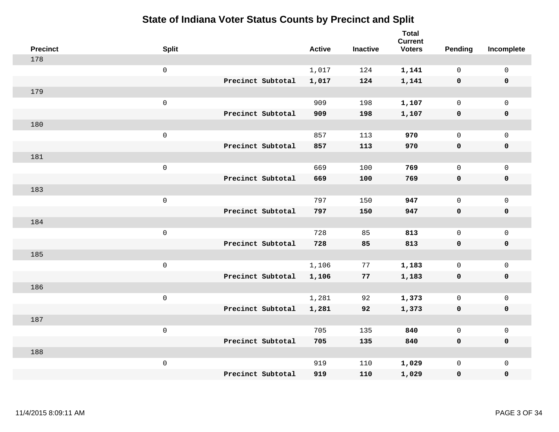| <b>Precinct</b> | <b>Split</b>        |                   | <b>Active</b> | <b>Inactive</b> | Total<br><b>Current</b><br><b>Voters</b> | Pending      | Incomplete          |
|-----------------|---------------------|-------------------|---------------|-----------------|------------------------------------------|--------------|---------------------|
| 178             |                     |                   |               |                 |                                          |              |                     |
|                 | $\mathsf{O}\xspace$ |                   | 1,017         | 124             | 1,141                                    | $\mathbf 0$  | $\mathsf{O}\xspace$ |
|                 |                     | Precinct Subtotal | 1,017         | 124             | 1,141                                    | $\mathbf 0$  | 0                   |
| 179             |                     |                   |               |                 |                                          |              |                     |
|                 | $\mathsf{O}\xspace$ |                   | 909           | 198             | 1,107                                    | $\mathsf{O}$ | $\mathsf{O}\xspace$ |
|                 |                     | Precinct Subtotal | 909           | 198             | 1,107                                    | $\mathbf 0$  | 0                   |
| 180             |                     |                   |               |                 |                                          |              |                     |
|                 | $\mathbf 0$         |                   | 857           | 113             | 970                                      | $\mathsf{O}$ | $\mathsf{O}\xspace$ |
|                 |                     | Precinct Subtotal | 857           | 113             | 970                                      | 0            | 0                   |
| 181             |                     |                   |               |                 |                                          |              |                     |
|                 | $\mathsf{O}\xspace$ |                   | 669           | 100             | 769                                      | $\mathbf 0$  | $\mathbf{0}$        |
|                 |                     | Precinct Subtotal | 669           | 100             | 769                                      | 0            | 0                   |
| 183             |                     |                   |               |                 |                                          |              |                     |
|                 | $\mathbf 0$         |                   | 797           | 150             | 947                                      | $\mathbf 0$  | $\mathbf 0$         |
|                 |                     | Precinct Subtotal | 797           | 150             | 947                                      | 0            | 0                   |
| 184             |                     |                   |               |                 |                                          |              |                     |
|                 | $\mathsf{O}\xspace$ |                   | 728           | 85              | 813                                      | $\mathsf{O}$ | $\mathsf{O}$        |
|                 |                     | Precinct Subtotal | 728           | 85              | 813                                      | 0            | 0                   |
| 185             |                     |                   |               |                 |                                          |              |                     |
|                 | $\mathbf 0$         |                   | 1,106         | 77              | 1,183                                    | $\mathsf{O}$ | $\mathsf{O}$        |
|                 |                     | Precinct Subtotal | 1,106         | 77              | 1,183                                    | 0            | 0                   |
| 186             |                     |                   |               |                 |                                          |              |                     |
|                 | $\mathbf 0$         |                   | 1,281         | 92              | 1,373                                    | $\mathbf 0$  | $\mathsf{O}$        |
|                 |                     | Precinct Subtotal | 1,281         | 92              | 1,373                                    | 0            | 0                   |
| 187             |                     |                   |               |                 |                                          |              |                     |
|                 | $\mathbf 0$         |                   | 705           | 135             | 840                                      | $\mathsf{O}$ | $\mathsf{O}$        |
|                 |                     | Precinct Subtotal | 705           | 135             | 840                                      | 0            | 0                   |
| 188             |                     |                   |               |                 |                                          |              |                     |
|                 | $\mathbf 0$         |                   | 919           | 110             | 1,029                                    | $\mathsf{O}$ | $\mathsf{O}$        |
|                 |                     | Precinct Subtotal | 919           | 110             | 1,029                                    | 0            | 0                   |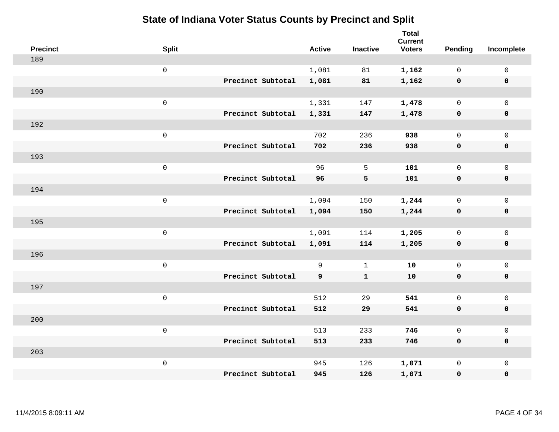| <b>Precinct</b> | <b>Split</b>        |                   | <b>Active</b> | <b>Inactive</b> | <b>Total</b><br><b>Current</b><br><b>Voters</b> | Pending      | Incomplete          |
|-----------------|---------------------|-------------------|---------------|-----------------|-------------------------------------------------|--------------|---------------------|
| 189             |                     |                   |               |                 |                                                 |              |                     |
|                 | $\mathsf{O}$        |                   | 1,081         | 81              | 1,162                                           | $\mathbf 0$  | $\mathsf{O}\xspace$ |
|                 |                     | Precinct Subtotal | 1,081         | 81              | 1,162                                           | $\mathbf 0$  | $\pmb{0}$           |
| 190             |                     |                   |               |                 |                                                 |              |                     |
|                 | $\mathsf{O}\xspace$ |                   | 1,331         | 147             | 1,478                                           | $\mathbf 0$  | $\mathsf{O}\xspace$ |
|                 |                     | Precinct Subtotal | 1,331         | 147             | 1,478                                           | $\mathbf 0$  | $\pmb{0}$           |
| 192             |                     |                   |               |                 |                                                 |              |                     |
|                 | $\mathbf 0$         |                   | 702           | 236             | 938                                             | $\mathsf{O}$ | $\mathsf{O}\xspace$ |
|                 |                     | Precinct Subtotal | 702           | 236             | 938                                             | 0            | 0                   |
| 193             |                     |                   |               |                 |                                                 |              |                     |
|                 | $\mathbf 0$         |                   | 96            | 5               | 101                                             | $\mathsf{O}$ | $\mathsf{O}\xspace$ |
|                 |                     | Precinct Subtotal | 96            | 5               | 101                                             | $\mathbf 0$  | 0                   |
| 194             |                     |                   |               |                 |                                                 |              |                     |
|                 | $\mathbf 0$         |                   | 1,094         | 150             | 1,244                                           | $\mathsf{O}$ | $\mathsf{O}\xspace$ |
|                 |                     | Precinct Subtotal | 1,094         | 150             | 1,244                                           | 0            | 0                   |
| 195             |                     |                   |               |                 |                                                 |              |                     |
|                 | $\mathsf{O}\xspace$ |                   | 1,091         | 114             | 1,205                                           | $\mathsf{O}$ | $\mathsf{O}\xspace$ |
|                 |                     | Precinct Subtotal | 1,091         | 114             | 1,205                                           | $\mathbf 0$  | 0                   |
| 196             |                     |                   |               |                 |                                                 |              |                     |
|                 | $\mathbf 0$         |                   | 9             | $\mathbf{1}$    | 10                                              | $\mathbf 0$  | $\mathsf{O}$        |
|                 |                     | Precinct Subtotal | 9             | $\mathbf{1}$    | 10                                              | 0            | 0                   |
| 197             |                     |                   |               |                 |                                                 |              |                     |
|                 | $\mathsf{O}\xspace$ |                   | 512           | 29              | 541                                             | $\mathbf 0$  | $\mathsf{O}\xspace$ |
|                 |                     | Precinct Subtotal | 512           | 29              | 541                                             | 0            | 0                   |
| 200             |                     |                   |               |                 |                                                 |              |                     |
|                 | $\mathsf 0$         |                   | 513           | 233             | 746                                             | $\mathsf{O}$ | $\mathsf 0$         |
|                 |                     | Precinct Subtotal | 513           | 233             | 746                                             | 0            | 0                   |
| 203             |                     |                   |               |                 |                                                 |              |                     |
|                 | $\mathbf 0$         |                   | 945           | 126             | 1,071                                           | $\mathsf{O}$ | $\mathsf{O}$        |
|                 |                     | Precinct Subtotal | 945           | 126             | 1,071                                           | 0            | $\pmb{0}$           |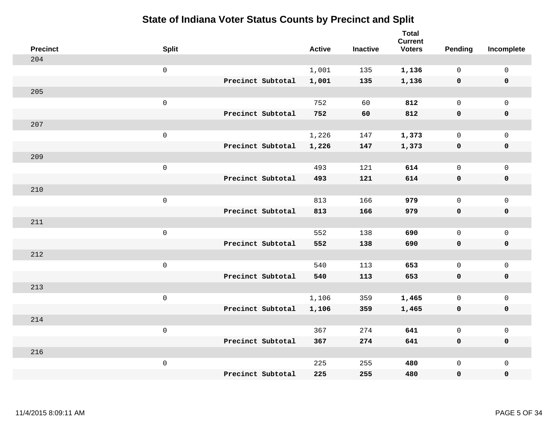| <b>Precinct</b> | <b>Split</b>        |                   | <b>Active</b> | <b>Inactive</b> | <b>Total</b><br><b>Current</b><br><b>Voters</b> | Pending      | Incomplete          |
|-----------------|---------------------|-------------------|---------------|-----------------|-------------------------------------------------|--------------|---------------------|
| 204             |                     |                   |               |                 |                                                 |              |                     |
|                 | $\mathsf{O}\xspace$ |                   | 1,001         | 135             | 1,136                                           | $\mathbf 0$  | $\mathsf{O}\xspace$ |
|                 |                     | Precinct Subtotal | 1,001         | 135             | 1,136                                           | $\mathbf 0$  | $\pmb{0}$           |
| 205             |                     |                   |               |                 |                                                 |              |                     |
|                 | $\mathsf{O}\xspace$ |                   | 752           | 60              | 812                                             | $\mathbf 0$  | $\mathbf{0}$        |
|                 |                     | Precinct Subtotal | 752           | 60              | 812                                             | $\mathbf 0$  | $\pmb{0}$           |
| 207             |                     |                   |               |                 |                                                 |              |                     |
|                 | $\mathsf 0$         |                   | 1,226         | 147             | 1,373                                           | 0            | $\mathsf 0$         |
|                 |                     | Precinct Subtotal | 1,226         | 147             | 1,373                                           | $\mathbf 0$  | 0                   |
| 209             |                     |                   |               |                 |                                                 |              |                     |
|                 | $\mathsf{O}\xspace$ |                   | 493           | 121             | 614                                             | $\mathbf 0$  | $\mathsf{O}$        |
|                 |                     | Precinct Subtotal | 493           | 121             | 614                                             | 0            | 0                   |
| 210             |                     |                   |               |                 |                                                 |              |                     |
|                 | $\mathsf{O}\xspace$ |                   | 813           | 166             | 979                                             | $\mathbf 0$  | $\mathsf{O}\xspace$ |
|                 |                     | Precinct Subtotal | 813           | 166             | 979                                             | 0            | 0                   |
| 211             |                     |                   |               |                 |                                                 |              |                     |
|                 | $\mathsf{O}\xspace$ |                   | 552           | 138             | 690                                             | $\mathbf 0$  | $\mathsf{O}\xspace$ |
|                 |                     | Precinct Subtotal | 552           | 138             | 690                                             | $\mathbf 0$  | 0                   |
| 212             |                     |                   |               |                 |                                                 |              |                     |
|                 | $\mathsf{O}\xspace$ |                   | 540           | 113             | 653                                             | $\mathbf 0$  | $\mathsf{O}$        |
|                 |                     | Precinct Subtotal | 540           | 113             | 653                                             | 0            | 0                   |
| 213             |                     |                   |               |                 |                                                 |              |                     |
|                 | $\mathsf 0$         |                   | 1,106         | 359             | 1,465                                           | 0            | $\mathsf{O}$        |
|                 |                     | Precinct Subtotal | 1,106         | 359             | 1,465                                           | 0            | 0                   |
| 214             |                     |                   |               |                 |                                                 |              |                     |
|                 | $\mathsf 0$         |                   | 367           | 274             | 641                                             | $\mathsf{O}$ | $\mathsf{O}$        |
|                 |                     | Precinct Subtotal | 367           | 274             | 641                                             | 0            | 0                   |
| 216             |                     |                   |               |                 |                                                 |              |                     |
|                 | $\mathsf 0$         |                   | 225           | 255             | 480                                             | $\mathsf{O}$ | $\mathsf{O}$        |
|                 |                     | Precinct Subtotal | 225           | 255             | 480                                             | 0            | 0                   |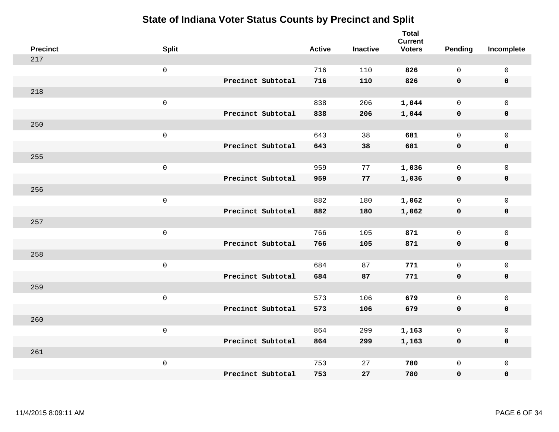| <b>Precinct</b> | <b>Split</b>        |                   | <b>Active</b> | <b>Inactive</b> | <b>Total</b><br><b>Current</b><br><b>Voters</b> | Pending      | Incomplete          |
|-----------------|---------------------|-------------------|---------------|-----------------|-------------------------------------------------|--------------|---------------------|
| 217             |                     |                   |               |                 |                                                 |              |                     |
|                 | $\mathsf{O}\xspace$ |                   | 716           | 110             | 826                                             | $\mathbf 0$  | $\mathsf{O}\xspace$ |
|                 |                     | Precinct Subtotal | 716           | 110             | 826                                             | $\mathbf 0$  | $\mathbf 0$         |
| 218             |                     |                   |               |                 |                                                 |              |                     |
|                 | $\mathsf{O}\xspace$ |                   | 838           | 206             | 1,044                                           | $\mathsf{O}$ | $\mathsf{O}$        |
|                 |                     | Precinct Subtotal | 838           | 206             | 1,044                                           | $\mathbf 0$  | 0                   |
| 250             |                     |                   |               |                 |                                                 |              |                     |
|                 | $\mathsf 0$         |                   | 643           | 38              | 681                                             | $\mathbf 0$  | $\mathsf{O}$        |
|                 |                     | Precinct Subtotal | 643           | 38              | 681                                             | $\mathbf 0$  | 0                   |
| 255             |                     |                   |               |                 |                                                 |              |                     |
|                 | $\mathsf{O}\xspace$ |                   | 959           | 77              | 1,036                                           | $\mathbf 0$  | $\mathsf{O}\xspace$ |
|                 |                     | Precinct Subtotal | 959           | 77              | 1,036                                           | $\mathbf 0$  | $\pmb{0}$           |
| 256             |                     |                   |               |                 |                                                 |              |                     |
|                 | $\mathsf 0$         |                   | 882           | 180             | 1,062                                           | $\mathbf 0$  | $\mathsf 0$         |
|                 |                     | Precinct Subtotal | 882           | 180             | 1,062                                           | 0            | $\pmb{0}$           |
| 257             |                     |                   |               |                 |                                                 |              |                     |
|                 | $\mathsf{O}\xspace$ |                   | 766           | 105             | 871                                             | $\mathbf 0$  | $\mathsf{O}$        |
|                 |                     | Precinct Subtotal | 766           | 105             | 871                                             | $\mathbf 0$  | 0                   |
| 258             |                     |                   |               |                 |                                                 |              |                     |
|                 | $\mathsf{O}\xspace$ |                   | 684           | 87              | 771                                             | $\mathbf 0$  | $\mathsf{O}\xspace$ |
|                 |                     | Precinct Subtotal | 684           | 87              | 771                                             | 0            | 0                   |
| 259             |                     |                   |               |                 |                                                 |              |                     |
|                 | $\mathsf 0$         |                   | 573           | 106             | 679                                             | $\mathbf 0$  | $\mathsf{O}\xspace$ |
|                 |                     | Precinct Subtotal | 573           | 106             | 679                                             | $\mathbf 0$  | 0                   |
| 260             |                     |                   |               |                 |                                                 |              |                     |
|                 | $\mathsf 0$         |                   | 864           | 299             | 1,163                                           | 0            | $\mathsf 0$         |
|                 |                     | Precinct Subtotal | 864           | 299             | 1,163                                           | 0            | 0                   |
| 261             |                     |                   |               |                 |                                                 |              |                     |
|                 | $\mathsf 0$         |                   | 753           | 27              | 780                                             | $\mathsf{O}$ | $\mathsf{O}$        |
|                 |                     | Precinct Subtotal | 753           | 27              | 780                                             | 0            | 0                   |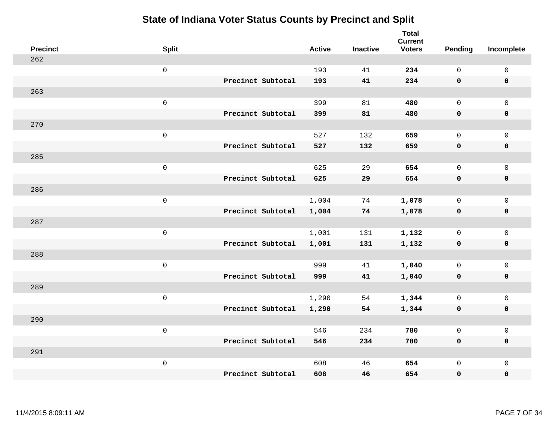| <b>Precinct</b> | <b>Split</b>        |                   | <b>Active</b> | <b>Inactive</b> | <b>Total</b><br><b>Current</b><br><b>Voters</b> | Pending      | Incomplete  |
|-----------------|---------------------|-------------------|---------------|-----------------|-------------------------------------------------|--------------|-------------|
| 262             |                     |                   |               |                 |                                                 |              |             |
|                 | $\mathsf{O}\xspace$ |                   | 193           | 41              | 234                                             | $\mathsf{O}$ | $\mathsf 0$ |
|                 |                     | Precinct Subtotal | 193           | 41              | 234                                             | $\mathbf 0$  | $\mathbf 0$ |
| 263             |                     |                   |               |                 |                                                 |              |             |
|                 | $\mathbf 0$         |                   | 399           | 81              | 480                                             | $\mathbf 0$  | $\mathbf 0$ |
|                 |                     | Precinct Subtotal | 399           | 81              | 480                                             | $\mathbf 0$  | $\mathbf 0$ |
| 270             |                     |                   |               |                 |                                                 |              |             |
|                 | $\mathsf 0$         |                   | 527           | 132             | 659                                             | $\mathbf 0$  | $\mathbf 0$ |
|                 |                     | Precinct Subtotal | 527           | 132             | 659                                             | $\mathbf 0$  | $\mathbf 0$ |
| 285             |                     |                   |               |                 |                                                 |              |             |
|                 | $\mathbf 0$         |                   | 625           | 29              | 654                                             | $\mathsf{O}$ | $\mathbf 0$ |
|                 |                     | Precinct Subtotal | 625           | 29              | 654                                             | $\mathbf 0$  | $\mathbf 0$ |
| 286             |                     |                   |               |                 |                                                 |              |             |
|                 | $\mathbf 0$         |                   | 1,004         | 74              | 1,078                                           | $\mathbf 0$  | $\mathsf 0$ |
|                 |                     | Precinct Subtotal | 1,004         | 74              | 1,078                                           | 0            | $\mathbf 0$ |
| 287             |                     |                   |               |                 |                                                 |              |             |
|                 | $\mathbf 0$         |                   | 1,001         | 131             | 1,132                                           | $\mathbf 0$  | $\mathsf 0$ |
|                 |                     | Precinct Subtotal | 1,001         | 131             | 1,132                                           | $\mathbf 0$  | $\mathbf 0$ |
| 288             |                     |                   |               |                 |                                                 |              |             |
|                 | $\mathbf 0$         |                   | 999           | 41              | 1,040                                           | $\mathsf{O}$ | $\mathbf 0$ |
|                 |                     | Precinct Subtotal | 999           | 41              | 1,040                                           | 0            | 0           |
| 289             |                     |                   |               |                 |                                                 |              |             |
|                 | $\mathbf 0$         |                   | 1,290         | 54              | 1,344                                           | $\mathsf{O}$ | $\mathbf 0$ |
|                 |                     | Precinct Subtotal | 1,290         | 54              | 1,344                                           | 0            | $\pmb{0}$   |
| 290             |                     |                   |               |                 |                                                 |              |             |
|                 | $\mathbf 0$         |                   | 546           | 234             | 780                                             | $\mathbf 0$  | $\mathbf 0$ |
|                 |                     | Precinct Subtotal | 546           | 234             | 780                                             | $\mathbf 0$  | $\mathbf 0$ |
| 291             |                     |                   |               |                 |                                                 |              |             |
|                 | $\mathbf 0$         |                   | 608           | 46              | 654                                             | $\mathsf{O}$ | $\mathbf 0$ |
|                 |                     | Precinct Subtotal | 608           | 46              | 654                                             | 0            | 0           |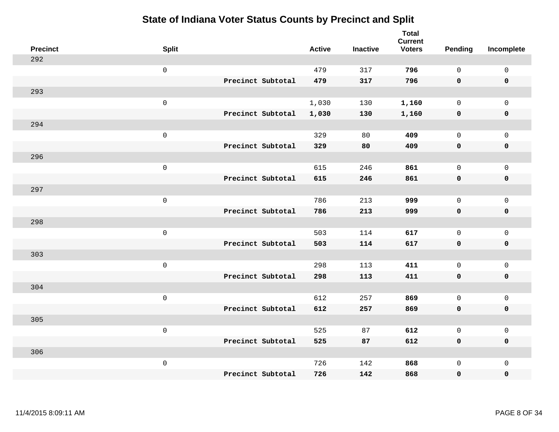| <b>Precinct</b> | <b>Split</b>        |                   | <b>Active</b> | <b>Inactive</b> | <b>Total</b><br><b>Current</b><br><b>Voters</b> | Pending      | Incomplete  |
|-----------------|---------------------|-------------------|---------------|-----------------|-------------------------------------------------|--------------|-------------|
| 292             |                     |                   |               |                 |                                                 |              |             |
|                 | $\mathsf{O}\xspace$ |                   | 479           | 317             | 796                                             | $\mathsf{O}$ | $\mathsf 0$ |
|                 |                     | Precinct Subtotal | 479           | 317             | 796                                             | $\mathbf 0$  | $\mathbf 0$ |
| 293             |                     |                   |               |                 |                                                 |              |             |
|                 | $\mathbf 0$         |                   | 1,030         | 130             | 1,160                                           | $\mathbf 0$  | $\mathbf 0$ |
|                 |                     | Precinct Subtotal | 1,030         | 130             | 1,160                                           | $\mathbf 0$  | $\mathbf 0$ |
| 294             |                     |                   |               |                 |                                                 |              |             |
|                 | $\mathsf 0$         |                   | 329           | 80              | 409                                             | $\mathbf 0$  | $\mathbf 0$ |
|                 |                     | Precinct Subtotal | 329           | 80              | 409                                             | $\mathbf 0$  | $\mathbf 0$ |
| 296             |                     |                   |               |                 |                                                 |              |             |
|                 | $\mathbf 0$         |                   | 615           | 246             | 861                                             | $\mathsf{O}$ | $\mathbf 0$ |
|                 |                     | Precinct Subtotal | 615           | 246             | 861                                             | $\mathbf 0$  | $\mathbf 0$ |
| 297             |                     |                   |               |                 |                                                 |              |             |
|                 | $\mathbf 0$         |                   | 786           | 213             | 999                                             | $\mathbf 0$  | $\mathsf 0$ |
|                 |                     | Precinct Subtotal | 786           | 213             | 999                                             | $\mathbf 0$  | $\mathbf 0$ |
| 298             |                     |                   |               |                 |                                                 |              |             |
|                 | $\mathbf 0$         |                   | 503           | 114             | 617                                             | $\mathbf 0$  | $\mathsf 0$ |
|                 |                     | Precinct Subtotal | 503           | 114             | 617                                             | $\mathbf 0$  | $\mathbf 0$ |
| 303             |                     |                   |               |                 |                                                 |              |             |
|                 | $\mathbf 0$         |                   | 298           | 113             | 411                                             | $\mathsf{O}$ | $\mathbf 0$ |
|                 |                     | Precinct Subtotal | 298           | 113             | 411                                             | 0            | 0           |
| 304             |                     |                   |               |                 |                                                 |              |             |
|                 | $\mathbf 0$         |                   | 612           | 257             | 869                                             | $\mathbf 0$  | $\mathbf 0$ |
|                 |                     | Precinct Subtotal | 612           | 257             | 869                                             | $\mathbf 0$  | $\pmb{0}$   |
| 305             |                     |                   |               |                 |                                                 |              |             |
|                 | $\mathbf 0$         |                   | 525           | 87              | 612                                             | $\mathbf 0$  | $\mathbf 0$ |
|                 |                     | Precinct Subtotal | 525           | 87              | 612                                             | $\mathbf 0$  | $\mathbf 0$ |
| 306             |                     |                   |               |                 |                                                 |              |             |
|                 | $\mathbf 0$         |                   | 726           | 142             | 868                                             | $\mathsf{O}$ | $\mathbf 0$ |
|                 |                     | Precinct Subtotal | 726           | 142             | 868                                             | 0            | 0           |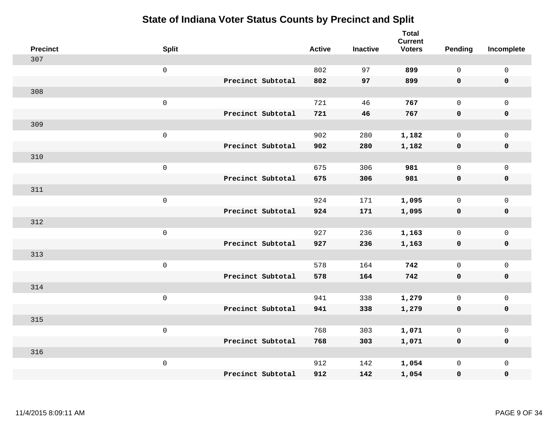| <b>Precinct</b> | <b>Split</b>      | <b>Active</b> | <b>Inactive</b> | <b>Total</b><br><b>Current</b><br><b>Voters</b> | <b>Pending</b> | Incomplete          |
|-----------------|-------------------|---------------|-----------------|-------------------------------------------------|----------------|---------------------|
| 307             |                   |               |                 |                                                 |                |                     |
|                 | $\mathsf 0$       | 802           | 97              | 899                                             | $\mathbf 0$    | $\mathsf 0$         |
|                 | Precinct Subtotal | 802           | 97              | 899                                             | $\mathbf 0$    | $\mathbf 0$         |
| 308             |                   |               |                 |                                                 |                |                     |
|                 | $\mathsf 0$       | 721           | 46              | 767                                             | $\mathsf{O}$   | $\mathbf 0$         |
|                 | Precinct Subtotal | 721           | 46              | 767                                             | $\mathbf 0$    | $\mathbf 0$         |
| 309             |                   |               |                 |                                                 |                |                     |
|                 | $\mathsf 0$       | 902           | 280             | 1,182                                           | $\mathbf 0$    | $\mathbf 0$         |
|                 | Precinct Subtotal | 902           | 280             | 1,182                                           | $\mathbf 0$    | $\mathbf 0$         |
| 310             |                   |               |                 |                                                 |                |                     |
|                 | $\mathbf 0$       | 675           | 306             | 981                                             | $\mathbf 0$    | $\mathsf{O}\xspace$ |
|                 | Precinct Subtotal | 675           | 306             | 981                                             | $\mathbf 0$    | $\mathbf 0$         |
| 311             |                   |               |                 |                                                 |                |                     |
|                 | $\mathsf 0$       | 924           | 171             | 1,095                                           | $\mathbf 0$    | $\mathbf{0}$        |
|                 | Precinct Subtotal | 924           | 171             | 1,095                                           | 0              | $\mathbf 0$         |
| 312             |                   |               |                 |                                                 |                |                     |
|                 | $\mathbf 0$       | 927           | 236             | 1,163                                           | $\mathsf{O}$   | $\mathsf{O}\xspace$ |
|                 | Precinct Subtotal | 927           | 236             | 1,163                                           | $\mathbf 0$    | $\mathbf 0$         |
| 313             |                   |               |                 |                                                 |                |                     |
|                 | $\mathbf 0$       | 578           | 164             | 742                                             | $\mathbf 0$    | $\mathsf{O}\xspace$ |
|                 | Precinct Subtotal | 578           | 164             | 742                                             | 0              | $\mathbf 0$         |
| 314             |                   |               |                 |                                                 |                |                     |
|                 | $\mathbf 0$       | 941           | 338             | 1,279                                           | $\mathbf 0$    | $\mathsf{O}\xspace$ |
|                 | Precinct Subtotal | 941           | 338             | 1,279                                           | $\mathbf 0$    | $\mathbf 0$         |
| 315             |                   |               |                 |                                                 |                |                     |
|                 | $\mathsf 0$       | 768           | 303             | 1,071                                           | 0              | $\mathsf 0$         |
|                 | Precinct Subtotal | 768           | 303             | 1,071                                           | $\mathbf 0$    | $\mathbf 0$         |
| 316             |                   |               |                 |                                                 |                |                     |
|                 | $\mathbf 0$       | 912           | 142             | 1,054                                           | $\mathsf{O}$   | $\mathbf 0$         |
|                 | Precinct Subtotal | 912           | 142             | 1,054                                           | 0              | $\pmb{0}$           |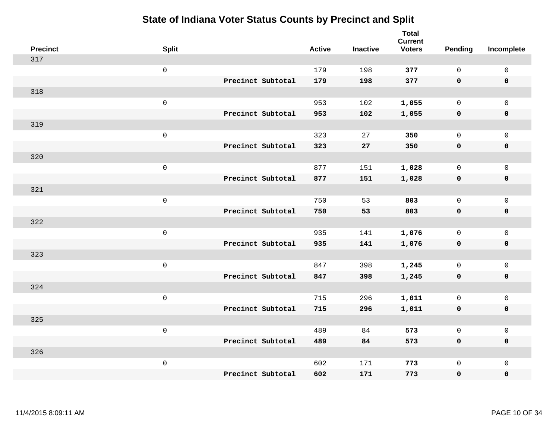| <b>Precinct</b> | <b>Split</b>        |                   | <b>Active</b> | <b>Inactive</b> | <b>Total</b><br><b>Current</b><br><b>Voters</b> | Pending      | Incomplete          |
|-----------------|---------------------|-------------------|---------------|-----------------|-------------------------------------------------|--------------|---------------------|
| 317             |                     |                   |               |                 |                                                 |              |                     |
|                 | $\mathsf 0$         |                   | 179           | 198             | 377                                             | $\mathbf{0}$ | $\mathsf{O}\xspace$ |
|                 |                     | Precinct Subtotal | 179           | 198             | 377                                             | $\mathbf 0$  | $\mathbf 0$         |
| 318             |                     |                   |               |                 |                                                 |              |                     |
|                 | $\mathsf 0$         |                   | 953           | 102             | 1,055                                           | $\mathbf 0$  | $\mathsf{O}$        |
|                 |                     | Precinct Subtotal | 953           | 102             | 1,055                                           | $\mathbf 0$  | 0                   |
| 319             |                     |                   |               |                 |                                                 |              |                     |
|                 | $\mathsf 0$         |                   | 323           | 27              | 350                                             | $\mathbf 0$  | $\mathsf{O}$        |
|                 |                     | Precinct Subtotal | 323           | ${\bf 27}$      | 350                                             | $\mathbf 0$  | $\pmb{0}$           |
| 320             |                     |                   |               |                 |                                                 |              |                     |
|                 | $\mathsf 0$         |                   | 877           | 151             | 1,028                                           | $\mathbf 0$  | $\mathsf{O}\xspace$ |
|                 |                     | Precinct Subtotal | 877           | 151             | 1,028                                           | $\mathbf 0$  | $\pmb{0}$           |
| 321             |                     |                   |               |                 |                                                 |              |                     |
|                 | $\mathbf 0$         |                   | 750           | 53              | 803                                             | $\mathbf 0$  | $\mathsf{O}\xspace$ |
|                 |                     | Precinct Subtotal | 750           | 53              | 803                                             | 0            | $\pmb{0}$           |
| 322             |                     |                   |               |                 |                                                 |              |                     |
|                 | $\,0\,$             |                   | 935           | 141             | 1,076                                           | $\mathbf 0$  | $\mathsf{O}$        |
|                 |                     | Precinct Subtotal | 935           | 141             | 1,076                                           | $\mathbf 0$  | 0                   |
| 323             |                     |                   |               |                 |                                                 |              |                     |
|                 | $\mathbf 0$         |                   | 847           | 398             | 1,245                                           | $\mathbf 0$  | $\mathsf{O}\xspace$ |
|                 |                     | Precinct Subtotal | 847           | 398             | 1,245                                           | 0            | 0                   |
| 324             |                     |                   |               |                 |                                                 |              |                     |
|                 | $\mathsf{O}\xspace$ |                   | 715           | 296             | 1,011                                           | $\mathbf 0$  | $\mathsf{O}\xspace$ |
|                 |                     | Precinct Subtotal | 715           | 296             | 1,011                                           | $\mathbf 0$  | 0                   |
| 325             |                     |                   |               |                 |                                                 |              |                     |
|                 | $\mathbf 0$         |                   | 489           | 84              | 573                                             | $\mathbf 0$  | $\mathsf 0$         |
|                 |                     | Precinct Subtotal | 489           | 84              | 573                                             | 0            | 0                   |
| 326             |                     |                   |               |                 |                                                 |              |                     |
|                 | $\mathbf 0$         |                   | 602           | 171             | 773                                             | $\mathsf{O}$ | $\mathsf{O}$        |
|                 |                     | Precinct Subtotal | 602           | 171             | 773                                             | 0            | 0                   |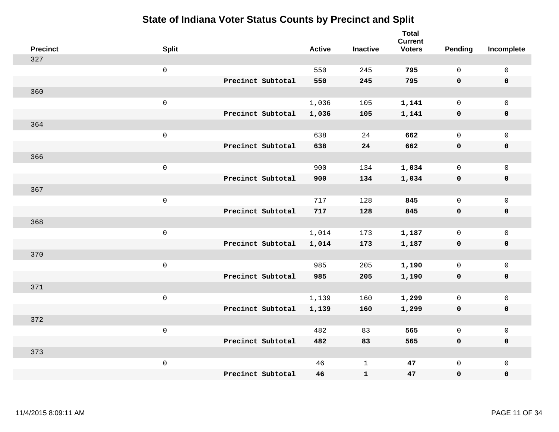| <b>Precinct</b> | <b>Split</b>        |                   | <b>Active</b> | <b>Inactive</b> | <b>Total</b><br><b>Current</b><br><b>Voters</b> | Pending      | Incomplete          |
|-----------------|---------------------|-------------------|---------------|-----------------|-------------------------------------------------|--------------|---------------------|
| 327             |                     |                   |               |                 |                                                 |              |                     |
|                 | $\mathsf 0$         |                   | 550           | 245             | 795                                             | $\mathbf 0$  | $\mathsf 0$         |
|                 |                     | Precinct Subtotal | 550           | 245             | 795                                             | $\mathbf 0$  | $\mathbf 0$         |
| 360             |                     |                   |               |                 |                                                 |              |                     |
|                 | $\mathsf 0$         |                   | 1,036         | 105             | 1,141                                           | $\mathbf 0$  | $\mathsf{O}$        |
|                 |                     | Precinct Subtotal | 1,036         | 105             | 1,141                                           | $\mathbf 0$  | 0                   |
| 364             |                     |                   |               |                 |                                                 |              |                     |
|                 | $\mathsf 0$         |                   | 638           | 24              | 662                                             | $\mathbf 0$  | $\mathsf{O}$        |
|                 |                     | Precinct Subtotal | 638           | 24              | 662                                             | $\mathbf 0$  | $\pmb{0}$           |
| 366             |                     |                   |               |                 |                                                 |              |                     |
|                 | $\mathsf 0$         |                   | 900           | 134             | 1,034                                           | $\mathbf 0$  | $\mathsf{O}\xspace$ |
|                 |                     | Precinct Subtotal | 900           | 134             | 1,034                                           | $\mathbf 0$  | $\pmb{0}$           |
| 367             |                     |                   |               |                 |                                                 |              |                     |
|                 | $\mathbf 0$         |                   | 717           | 128             | 845                                             | $\mathbf 0$  | $\mathsf 0$         |
|                 |                     | Precinct Subtotal | 717           | 128             | 845                                             | 0            | $\pmb{0}$           |
| 368             |                     |                   |               |                 |                                                 |              |                     |
|                 | $\,0\,$             |                   | 1,014         | 173             | 1,187                                           | $\mathbf 0$  | $\mathsf{O}$        |
|                 |                     | Precinct Subtotal | 1,014         | 173             | 1,187                                           | $\mathbf 0$  | 0                   |
| 370             |                     |                   |               |                 |                                                 |              |                     |
|                 | $\mathbf 0$         |                   | 985           | 205             | 1,190                                           | $\mathbf 0$  | $\mathsf{O}\xspace$ |
|                 |                     | Precinct Subtotal | 985           | 205             | 1,190                                           | 0            | 0                   |
| 371             |                     |                   |               |                 |                                                 |              |                     |
|                 | $\mathsf{O}\xspace$ |                   | 1,139         | 160             | 1,299                                           | $\mathbf 0$  | $\mathsf{O}\xspace$ |
|                 |                     | Precinct Subtotal | 1,139         | 160             | 1,299                                           | $\mathbf 0$  | 0                   |
| 372             |                     |                   |               |                 |                                                 |              |                     |
|                 | $\mathbf 0$         |                   | 482           | 83              | 565                                             | $\mathbf 0$  | $\mathsf 0$         |
|                 |                     | Precinct Subtotal | 482           | 83              | 565                                             | 0            | 0                   |
| 373             |                     |                   |               |                 |                                                 |              |                     |
|                 | $\mathbf 0$         |                   | 46            | $\mathbf{1}$    | 47                                              | $\mathsf{O}$ | $\mathsf{O}$        |
|                 |                     | Precinct Subtotal | 46            | ${\bf 1}$       | 47                                              | 0            | 0                   |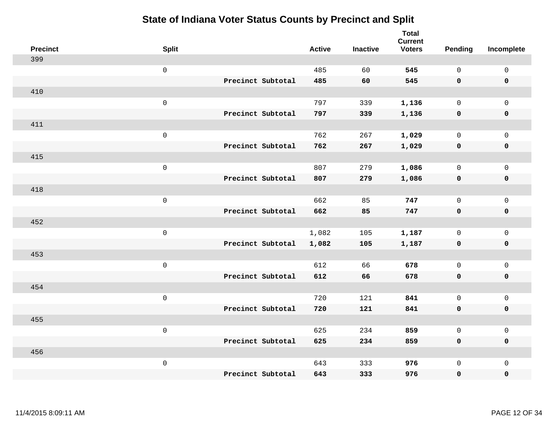| <b>Precinct</b> | <b>Split</b>        |                   | <b>Active</b> | <b>Inactive</b> | <b>Total</b><br><b>Current</b><br><b>Voters</b> | <b>Pending</b> | Incomplete   |
|-----------------|---------------------|-------------------|---------------|-----------------|-------------------------------------------------|----------------|--------------|
| 399             |                     |                   |               |                 |                                                 |                |              |
|                 | $\mathsf{O}\xspace$ |                   | 485           | 60              | 545                                             | $\mathbf 0$    | $\mathbf 0$  |
|                 |                     | Precinct Subtotal | 485           | 60              | 545                                             | $\mathbf 0$    | $\mathbf 0$  |
| 410             |                     |                   |               |                 |                                                 |                |              |
|                 | $\mathbf 0$         |                   | 797           | 339             | 1,136                                           | $\mathbf 0$    | $\mathbf 0$  |
|                 |                     | Precinct Subtotal | 797           | 339             | 1,136                                           | 0              | $\pmb{0}$    |
| 411             |                     |                   |               |                 |                                                 |                |              |
|                 | $\mathsf 0$         |                   | 762           | 267             | 1,029                                           | $\mathbf 0$    | $\mathbf 0$  |
|                 |                     | Precinct Subtotal | 762           | 267             | 1,029                                           | $\mathbf 0$    | $\mathbf 0$  |
| 415             |                     |                   |               |                 |                                                 |                |              |
|                 | $\mathbf 0$         |                   | 807           | 279             | 1,086                                           | $\mathbf 0$    | $\mathbf 0$  |
|                 |                     | Precinct Subtotal | 807           | 279             | 1,086                                           | $\mathbf 0$    | $\mathbf 0$  |
| 418             |                     |                   |               |                 |                                                 |                |              |
|                 | $\mathsf 0$         |                   | 662           | 85              | 747                                             | $\Omega$       | $\mathbf{0}$ |
|                 |                     | Precinct Subtotal | 662           | 85              | 747                                             | $\mathbf 0$    | $\mathbf 0$  |
| 452             |                     |                   |               |                 |                                                 |                |              |
|                 | $\mathbf 0$         |                   | 1,082         | 105             | 1,187                                           | $\mathbf 0$    | $\mathbf 0$  |
|                 |                     | Precinct Subtotal | 1,082         | 105             | 1,187                                           | 0              | $\mathbf 0$  |
| 453             |                     |                   |               |                 |                                                 |                |              |
|                 | $\mathbf 0$         |                   | 612           | 66              | 678                                             | $\mathbf 0$    | $\mathsf 0$  |
|                 |                     | Precinct Subtotal | 612           | 66              | 678                                             | $\mathbf 0$    | $\mathbf 0$  |
| 454             |                     |                   |               |                 |                                                 |                |              |
|                 | $\mathbf 0$         |                   | 720           | 121             | 841                                             | $\mathbf 0$    | $\mathsf 0$  |
|                 |                     | Precinct Subtotal | 720           | 121             | 841                                             | $\mathbf 0$    | $\mathbf 0$  |
| 455             |                     |                   |               |                 |                                                 |                |              |
|                 | $\mathbf 0$         |                   | 625           | 234             | 859                                             | $\mathsf{O}$   | $\mathsf 0$  |
|                 |                     | Precinct Subtotal | 625           | 234             | 859                                             | $\mathbf 0$    | $\mathbf 0$  |
| 456             |                     |                   |               |                 |                                                 |                |              |
|                 | $\mathbf 0$         |                   | 643           | 333             | 976                                             | $\mathbf 0$    | $\mathbf 0$  |
|                 |                     | Precinct Subtotal | 643           | 333             | 976                                             | $\mathbf 0$    | $\pmb{0}$    |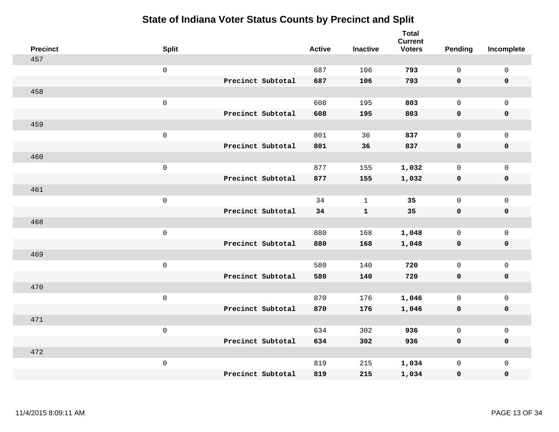| <b>Precinct</b> | <b>Split</b>        | <b>Active</b>            | <b>Inactive</b> | <b>Total</b><br><b>Current</b><br><b>Voters</b> | Pending      | Incomplete          |
|-----------------|---------------------|--------------------------|-----------------|-------------------------------------------------|--------------|---------------------|
| 457             |                     |                          |                 |                                                 |              |                     |
|                 | $\mathsf 0$         | 687                      | 106             | 793                                             | $\mathbf 0$  | $\mathsf 0$         |
|                 |                     | Precinct Subtotal<br>687 | 106             | 793                                             | $\mathbf 0$  | $\mathbf 0$         |
| 458             |                     |                          |                 |                                                 |              |                     |
|                 | $\mathsf{O}\xspace$ | 608                      | 195             | 803                                             | $\mathsf{O}$ | $\mathsf{O}$        |
|                 |                     | Precinct Subtotal<br>608 | 195             | 803                                             | $\mathbf 0$  | 0                   |
| 459             |                     |                          |                 |                                                 |              |                     |
|                 | $\mathsf{O}\xspace$ | 801                      | 36              | 837                                             | $\mathbf 0$  | $\mathsf{O}$        |
|                 |                     | Precinct Subtotal<br>801 | 36              | 837                                             | $\mathbf 0$  | $\pmb{0}$           |
| 460             |                     |                          |                 |                                                 |              |                     |
|                 | $\mathsf{O}\xspace$ | 877                      | 155             | 1,032                                           | $\mathbf 0$  | $\mathsf{O}\xspace$ |
|                 |                     | Precinct Subtotal<br>877 | 155             | 1,032                                           | $\mathbf 0$  | $\pmb{0}$           |
| 461             |                     |                          |                 |                                                 |              |                     |
|                 | $\mathsf{O}\xspace$ | 34                       | $\mathbf{1}$    | 35                                              | $\mathbf 0$  | $\mathsf 0$         |
|                 |                     | Precinct Subtotal<br>34  | $\mathbf{1}$    | 35                                              | 0            | $\mathbf 0$         |
| 468             |                     |                          |                 |                                                 |              |                     |
|                 | $\mathsf{O}\xspace$ | 880                      | 168             | 1,048                                           | $\mathbf 0$  | $\mathsf{O}\xspace$ |
|                 |                     | Precinct Subtotal<br>880 | 168             | 1,048                                           | $\mathbf 0$  | 0                   |
| 469             |                     |                          |                 |                                                 |              |                     |
|                 | $\mathsf{O}\xspace$ | 580                      | 140             | 720                                             | $\mathbf 0$  | $\mathsf{O}\xspace$ |
|                 |                     | Precinct Subtotal<br>580 | 140             | 720                                             | 0            | 0                   |
| 470             |                     |                          |                 |                                                 |              |                     |
|                 | $\mathsf 0$         | 870                      | 176             | 1,046                                           | $\mathbf 0$  | $\mathsf{O}\xspace$ |
|                 |                     | Precinct Subtotal<br>870 | 176             | 1,046                                           | $\mathbf 0$  | 0                   |
| 471             |                     |                          |                 |                                                 |              |                     |
|                 | $\mathsf{O}\xspace$ | 634                      | 302             | 936                                             | $\mathsf{O}$ | $\mathsf 0$         |
|                 |                     | Precinct Subtotal<br>634 | 302             | 936                                             | 0            | 0                   |
| 472             |                     |                          |                 |                                                 |              |                     |
|                 | $\mathsf 0$         | 819                      | 215             | 1,034                                           | $\mathsf{O}$ | $\mathsf{O}$        |
|                 |                     | Precinct Subtotal<br>819 | 215             | 1,034                                           | 0            | 0                   |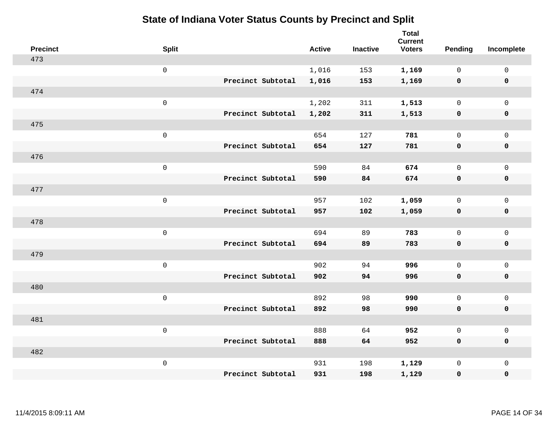| <b>Precinct</b> | <b>Split</b>        |                   | <b>Active</b> | <b>Inactive</b> | <b>Total</b><br><b>Current</b><br><b>Voters</b> | Pending      | Incomplete          |
|-----------------|---------------------|-------------------|---------------|-----------------|-------------------------------------------------|--------------|---------------------|
| 473             |                     |                   |               |                 |                                                 |              |                     |
|                 | $\mathsf{O}$        |                   | 1,016         | 153             | 1,169                                           | $\mathbf 0$  | $\mathsf{O}$        |
|                 |                     | Precinct Subtotal | 1,016         | 153             | 1,169                                           | $\mathbf 0$  | $\pmb{0}$           |
| 474             |                     |                   |               |                 |                                                 |              |                     |
|                 | $\mathsf{O}\xspace$ |                   | 1,202         | 311             | 1,513                                           | $\mathbf 0$  | $\mathsf{O}$        |
|                 |                     | Precinct Subtotal | 1,202         | 311             | 1,513                                           | $\mathbf 0$  | 0                   |
| 475             |                     |                   |               |                 |                                                 |              |                     |
|                 | $\mathsf{O}\xspace$ |                   | 654           | 127             | 781                                             | $\mathbf 0$  | $\mathsf{O}\xspace$ |
|                 |                     | Precinct Subtotal | 654           | 127             | 781                                             | 0            | 0                   |
| 476             |                     |                   |               |                 |                                                 |              |                     |
|                 | $\mathsf{O}\xspace$ |                   | 590           | 84              | 674                                             | $\mathbf 0$  | $\mathsf{O}\xspace$ |
|                 |                     | Precinct Subtotal | 590           | 84              | 674                                             | $\mathbf 0$  | 0                   |
| 477             |                     |                   |               |                 |                                                 |              |                     |
|                 | $\mathsf{O}\xspace$ |                   | 957           | 102             | 1,059                                           | $\mathbf 0$  | $\mathsf{O}$        |
|                 |                     | Precinct Subtotal | 957           | 102             | 1,059                                           | 0            | 0                   |
| 478             |                     |                   |               |                 |                                                 |              |                     |
|                 | $\mathsf 0$         |                   | 694           | 89              | 783                                             | $\mathsf{O}$ | $\mathsf{O}$        |
|                 |                     | Precinct Subtotal | 694           | 89              | 783                                             | 0            | 0                   |
| 479             |                     |                   |               |                 |                                                 |              |                     |
|                 | $\mathsf 0$         |                   | 902           | 94              | 996                                             | $\mathsf{O}$ | $\mathsf{O}$        |
|                 |                     | Precinct Subtotal | 902           | 94              | 996                                             | 0            | 0                   |
| 480             |                     |                   |               |                 |                                                 |              |                     |
|                 | $\mathsf 0$         |                   | 892           | 98              | 990                                             | $\mathsf{O}$ | $\mathsf{O}\xspace$ |
|                 |                     | Precinct Subtotal | 892           | 98              | 990                                             | 0            | 0                   |
| 481             |                     |                   |               |                 |                                                 |              |                     |
|                 | $\mathsf 0$         |                   | 888           | 64              | 952                                             | $\mathbf{0}$ | $\mathsf 0$         |
|                 |                     | Precinct Subtotal | 888           | 64              | 952                                             | 0            | 0                   |
| 482             |                     |                   |               |                 |                                                 |              |                     |
|                 | $\mathsf 0$         |                   | 931           | 198             | 1,129                                           | $\mathsf{O}$ | $\mathsf{O}$        |
|                 |                     | Precinct Subtotal | 931           | 198             | 1,129                                           | 0            | 0                   |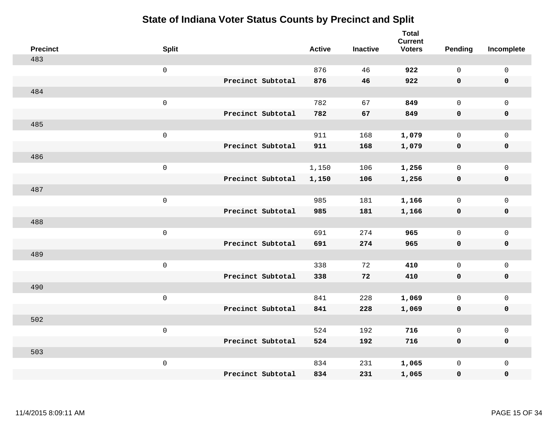| <b>Precinct</b> | <b>Split</b>        |                   | <b>Active</b> | <b>Inactive</b> | <b>Total</b><br><b>Current</b><br><b>Voters</b> | Pending      | Incomplete          |
|-----------------|---------------------|-------------------|---------------|-----------------|-------------------------------------------------|--------------|---------------------|
| 483             |                     |                   |               |                 |                                                 |              |                     |
|                 | $\mathsf 0$         |                   | 876           | 46              | 922                                             | $\mathsf{O}$ | $\mathsf{O}\xspace$ |
|                 |                     | Precinct Subtotal | 876           | 46              | 922                                             | $\mathbf 0$  | 0                   |
| 484             |                     |                   |               |                 |                                                 |              |                     |
|                 | $\mathsf 0$         |                   | 782           | 67              | 849                                             | $\mathbf 0$  | $\mathbf 0$         |
|                 |                     | Precinct Subtotal | 782           | 67              | 849                                             | $\mathbf 0$  | 0                   |
| 485             |                     |                   |               |                 |                                                 |              |                     |
|                 | $\mathsf 0$         |                   | 911           | 168             | 1,079                                           | $\mathbf 0$  | $\mathsf{O}\xspace$ |
|                 |                     | Precinct Subtotal | 911           | 168             | 1,079                                           | 0            | $\pmb{0}$           |
| 486             |                     |                   |               |                 |                                                 |              |                     |
|                 | $\mathsf 0$         |                   | 1,150         | 106             | 1,256                                           | $\mathsf{O}$ | $\mathsf{O}$        |
|                 |                     | Precinct Subtotal | 1,150         | 106             | 1,256                                           | 0            | 0                   |
| 487             |                     |                   |               |                 |                                                 |              |                     |
|                 | $\mathsf 0$         |                   | 985           | 181             | 1,166                                           | $\mathbf 0$  | $\mathsf{O}$        |
|                 |                     | Precinct Subtotal | 985           | 181             | 1,166                                           | $\mathbf 0$  | 0                   |
| 488             |                     |                   |               |                 |                                                 |              |                     |
|                 | $\mathsf{O}\xspace$ |                   | 691           | 274             | 965                                             | $\mathbf 0$  | $\mathsf{O}$        |
|                 |                     | Precinct Subtotal | 691           | 274             | 965                                             | $\mathbf 0$  | $\pmb{0}$           |
| 489             |                     |                   |               |                 |                                                 |              |                     |
|                 | $\mathsf 0$         |                   | 338           | 72              | 410                                             | $\mathsf{O}$ | $\mathsf{O}$        |
|                 |                     | Precinct Subtotal | 338           | 72              | 410                                             | 0            | 0                   |
| 490             |                     |                   |               |                 |                                                 |              |                     |
|                 | $\mathsf 0$         |                   | 841           | 228             | 1,069                                           | $\mathbf 0$  | $\mathsf{O}\xspace$ |
|                 |                     | Precinct Subtotal | 841           | 228             | 1,069                                           | 0            | 0                   |
| 502             |                     |                   |               |                 |                                                 |              |                     |
|                 | $\mathsf 0$         |                   | 524           | 192             | 716                                             | $\mathbf 0$  | $\mathsf{O}\xspace$ |
|                 |                     | Precinct Subtotal | 524           | 192             | 716                                             | 0            | 0                   |
| 503             |                     |                   |               |                 |                                                 |              |                     |
|                 | $\mathsf 0$         |                   | 834           | 231             | 1,065                                           | $\mathsf{O}$ | $\mathsf{O}$        |
|                 |                     | Precinct Subtotal | 834           | 231             | 1,065                                           | 0            | 0                   |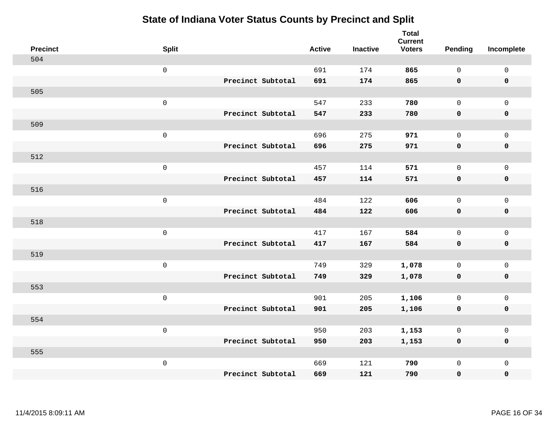| <b>Precinct</b> | <b>Split</b>        |                   | <b>Active</b> | <b>Inactive</b> | <b>Total</b><br><b>Current</b><br><b>Voters</b> | Pending      | Incomplete          |
|-----------------|---------------------|-------------------|---------------|-----------------|-------------------------------------------------|--------------|---------------------|
| 504             |                     |                   |               |                 |                                                 |              |                     |
|                 | $\mathsf 0$         |                   | 691           | 174             | 865                                             | $\mathbf{0}$ | $\mathsf{O}\xspace$ |
|                 |                     | Precinct Subtotal | 691           | 174             | 865                                             | $\mathbf 0$  | $\mathbf 0$         |
| 505             |                     |                   |               |                 |                                                 |              |                     |
|                 | $\mathsf 0$         |                   | 547           | 233             | 780                                             | $\mathbf{0}$ | $\mathsf{O}$        |
|                 |                     | Precinct Subtotal | 547           | 233             | 780                                             | $\mathbf 0$  | 0                   |
| 509             |                     |                   |               |                 |                                                 |              |                     |
|                 | $\mathsf 0$         |                   | 696           | 275             | 971                                             | $\mathbf 0$  | $\mathsf{O}$        |
|                 |                     | Precinct Subtotal | 696           | 275             | 971                                             | 0            | 0                   |
| 512             |                     |                   |               |                 |                                                 |              |                     |
|                 | $\mathsf 0$         |                   | 457           | 114             | 571                                             | $\mathbf{0}$ | $\mathsf{O}\xspace$ |
|                 |                     | Precinct Subtotal | 457           | 114             | 571                                             | $\mathbf 0$  | $\pmb{0}$           |
| 516             |                     |                   |               |                 |                                                 |              |                     |
|                 | $\mathbf 0$         |                   | 484           | 122             | 606                                             | $\mathbf{0}$ | $\mathbf 0$         |
|                 |                     | Precinct Subtotal | 484           | 122             | 606                                             | 0            | $\mathbf 0$         |
| 518             |                     |                   |               |                 |                                                 |              |                     |
|                 | $\mathbf 0$         |                   | 417           | 167             | 584                                             | $\mathsf{O}$ | $\mathsf{O}$        |
|                 |                     | Precinct Subtotal | 417           | 167             | 584                                             | $\mathbf 0$  | 0                   |
| 519             |                     |                   |               |                 |                                                 |              |                     |
|                 | $\mathbf 0$         |                   | 749           | 329             | 1,078                                           | $\mathsf{O}$ | $\mathsf{O}\xspace$ |
|                 |                     | Precinct Subtotal | 749           | 329             | 1,078                                           | 0            | 0                   |
| 553             |                     |                   |               |                 |                                                 |              |                     |
|                 | $\mathsf{O}\xspace$ |                   | 901           | 205             | 1,106                                           | $\mathbf 0$  | $\mathsf{O}\xspace$ |
|                 |                     | Precinct Subtotal | 901           | 205             | 1,106                                           | $\mathbf 0$  | 0                   |
| 554             |                     |                   |               |                 |                                                 |              |                     |
|                 | $\mathbf 0$         |                   | 950           | 203             | 1,153                                           | $\mathbf 0$  | $\mathsf 0$         |
|                 |                     | Precinct Subtotal | 950           | 203             | 1,153                                           | 0            | 0                   |
| 555             |                     |                   |               |                 |                                                 |              |                     |
|                 | $\mathbf 0$         |                   | 669           | 121             | 790                                             | $\mathsf{O}$ | $\mathsf{O}$        |
|                 |                     | Precinct Subtotal | 669           | 121             | 790                                             | 0            | 0                   |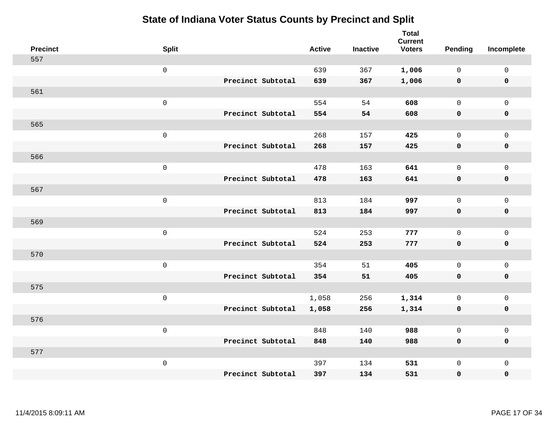| <b>Precinct</b> | <b>Split</b>        |                   | <b>Active</b> | <b>Inactive</b> | <b>Total</b><br><b>Current</b><br><b>Voters</b> | Pending      | Incomplete          |
|-----------------|---------------------|-------------------|---------------|-----------------|-------------------------------------------------|--------------|---------------------|
| 557             |                     |                   |               |                 |                                                 |              |                     |
|                 | $\mathsf{O}$        |                   | 639           | 367             | 1,006                                           | $\mathbf 0$  | $\mathsf{O}\xspace$ |
|                 |                     | Precinct Subtotal | 639           | 367             | 1,006                                           | $\mathbf 0$  | $\pmb{0}$           |
| 561             |                     |                   |               |                 |                                                 |              |                     |
|                 | $\mathsf 0$         |                   | 554           | 54              | 608                                             | $\mathbf 0$  | $\mathbf{0}$        |
|                 |                     | Precinct Subtotal | 554           | 54              | 608                                             | $\mathbf 0$  | $\pmb{0}$           |
| 565             |                     |                   |               |                 |                                                 |              |                     |
|                 | $\mathbf 0$         |                   | 268           | 157             | 425                                             | $\mathbf 0$  | $\mathsf{O}$        |
|                 |                     | Precinct Subtotal | 268           | 157             | 425                                             | 0            | 0                   |
| 566             |                     |                   |               |                 |                                                 |              |                     |
|                 | $\mathbf 0$         |                   | 478           | 163             | 641                                             | $\mathsf{O}$ | $\mathsf{O}\xspace$ |
|                 |                     | Precinct Subtotal | 478           | 163             | 641                                             | $\mathbf 0$  | 0                   |
| 567             |                     |                   |               |                 |                                                 |              |                     |
|                 | $\mathbf 0$         |                   | 813           | 184             | 997                                             | $\mathbf 0$  | $\mathsf{O}\xspace$ |
|                 |                     | Precinct Subtotal | 813           | 184             | 997                                             | 0            | 0                   |
| 569             |                     |                   |               |                 |                                                 |              |                     |
|                 | $\mathsf{O}\xspace$ |                   | 524           | 253             | 777                                             | $\mathbf 0$  | $\mathsf{O}\xspace$ |
|                 |                     | Precinct Subtotal | 524           | 253             | 777                                             | 0            | 0                   |
| 570             |                     |                   |               |                 |                                                 |              |                     |
|                 | $\mathbf 0$         |                   | 354           | 51              | 405                                             | $\mathbf 0$  | $\mathsf{O}$        |
|                 |                     | Precinct Subtotal | 354           | 51              | 405                                             | 0            | 0                   |
| 575             |                     |                   |               |                 |                                                 |              |                     |
|                 | $\mathsf{O}\xspace$ |                   | 1,058         | 256             | 1,314                                           | $\mathbf 0$  | $\mathsf{O}\xspace$ |
|                 |                     | Precinct Subtotal | 1,058         | 256             | 1,314                                           | 0            | 0                   |
| 576             |                     |                   |               |                 |                                                 |              |                     |
|                 | $\mathsf 0$         |                   | 848           | 140             | 988                                             | $\mathsf{O}$ | $\mathsf{O}\xspace$ |
|                 |                     | Precinct Subtotal | 848           | 140             | 988                                             | 0            | 0                   |
| 577             |                     |                   |               |                 |                                                 |              |                     |
|                 | $\mathbf 0$         |                   | 397           | 134             | 531                                             | $\mathsf{O}$ | $\mathsf{O}$        |
|                 |                     | Precinct Subtotal | 397           | 134             | 531                                             | 0            | 0                   |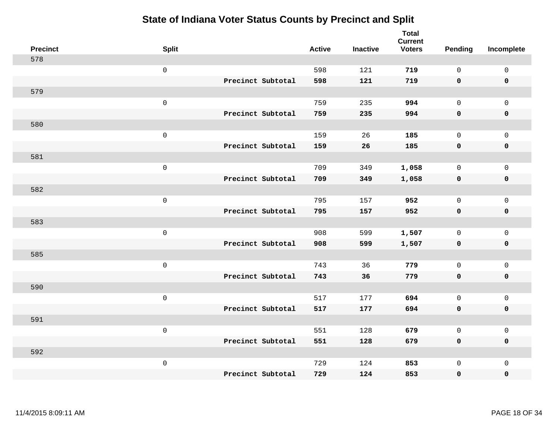| <b>Precinct</b> | <b>Split</b>        |                   | <b>Active</b> | <b>Inactive</b> | <b>Total</b><br><b>Current</b><br><b>Voters</b> | <b>Pending</b> | Incomplete          |
|-----------------|---------------------|-------------------|---------------|-----------------|-------------------------------------------------|----------------|---------------------|
| 578             |                     |                   |               |                 |                                                 |                |                     |
|                 | $\mathsf{O}$        |                   | 598           | 121             | 719                                             | $\mathbf 0$    | $\mathsf{O}\xspace$ |
|                 |                     | Precinct Subtotal | 598           | 121             | 719                                             | $\mathbf 0$    | $\mathbf 0$         |
| 579             |                     |                   |               |                 |                                                 |                |                     |
|                 | $\mathsf{O}$        |                   | 759           | 235             | 994                                             | $\mathbf{0}$   | $\mathsf{O}$        |
|                 |                     | Precinct Subtotal | 759           | 235             | 994                                             | $\mathbf 0$    | 0                   |
| 580             |                     |                   |               |                 |                                                 |                |                     |
|                 | $\mathsf 0$         |                   | 159           | 26              | 185                                             | $\mathbf 0$    | $\mathsf{O}\xspace$ |
|                 |                     | Precinct Subtotal | 159           | 26              | 185                                             | 0              | $\pmb{0}$           |
| 581             |                     |                   |               |                 |                                                 |                |                     |
|                 | $\mathsf{O}$        |                   | 709           | 349             | 1,058                                           | $\mathsf{O}$   | $\mathsf{O}$        |
|                 |                     | Precinct Subtotal | 709           | 349             | 1,058                                           | $\mathbf 0$    | 0                   |
| 582             |                     |                   |               |                 |                                                 |                |                     |
|                 | $\mathbf 0$         |                   | 795           | 157             | 952                                             | $\mathbf 0$    | $\mathsf{O}$        |
|                 |                     | Precinct Subtotal | 795           | 157             | 952                                             | 0              | 0                   |
| 583             |                     |                   |               |                 |                                                 |                |                     |
|                 | $\mathsf{O}\xspace$ |                   | 908           | 599             | 1,507                                           | $\mathbf 0$    | $\mathsf{O}$        |
|                 |                     | Precinct Subtotal | 908           | 599             | 1,507                                           | $\mathbf 0$    | 0                   |
| 585             |                     |                   |               |                 |                                                 |                |                     |
|                 | $\mathbf 0$         |                   | 743           | 36              | 779                                             | $\mathbf 0$    | $\mathsf{O}$        |
|                 |                     | Precinct Subtotal | 743           | 36              | 779                                             | 0              | 0                   |
| 590             |                     |                   |               |                 |                                                 |                |                     |
|                 | $\mathbf 0$         |                   | 517           | 177             | 694                                             | $\mathbf{0}$   | $\mathsf{O}$        |
|                 |                     | Precinct Subtotal | 517           | 177             | 694                                             | 0              | 0                   |
| 591             |                     |                   |               |                 |                                                 |                |                     |
|                 | $\mathbf 0$         |                   | 551           | 128             | 679                                             | $\mathbf{0}$   | $\mathsf{O}$        |
|                 |                     | Precinct Subtotal | 551           | 128             | 679                                             | 0              | 0                   |
| 592             |                     |                   |               |                 |                                                 |                |                     |
|                 | $\mathbf 0$         |                   | 729           | 124             | 853                                             | $\mathsf{O}$   | $\mathsf{O}$        |
|                 |                     | Precinct Subtotal | 729           | 124             | 853                                             | 0              | 0                   |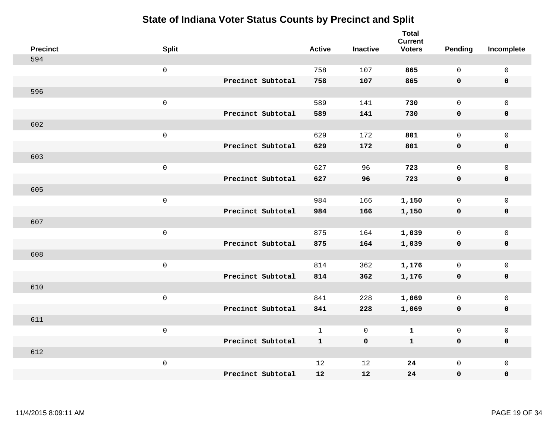| <b>Precinct</b> | <b>Split</b> |                   | <b>Active</b> | <b>Inactive</b> | <b>Total</b><br><b>Current</b><br><b>Voters</b> | <b>Pending</b> | Incomplete          |
|-----------------|--------------|-------------------|---------------|-----------------|-------------------------------------------------|----------------|---------------------|
| 594             |              |                   |               |                 |                                                 |                |                     |
|                 | $\mathsf 0$  |                   | 758           | 107             | 865                                             | $\mathbf 0$    | $\mathsf 0$         |
|                 |              | Precinct Subtotal | 758           | 107             | 865                                             | $\mathbf 0$    | $\mathbf 0$         |
| 596             |              |                   |               |                 |                                                 |                |                     |
|                 | $\mathsf 0$  |                   | 589           | 141             | 730                                             | $\mathsf{O}$   | $\mathbf 0$         |
|                 |              | Precinct Subtotal | 589           | 141             | 730                                             | $\mathbf 0$    | $\pmb{0}$           |
| 602             |              |                   |               |                 |                                                 |                |                     |
|                 | $\mathsf 0$  |                   | 629           | 172             | 801                                             | $\mathbf 0$    | $\mathsf{O}\xspace$ |
|                 |              | Precinct Subtotal | 629           | 172             | 801                                             | $\mathbf 0$    | $\mathbf 0$         |
| 603             |              |                   |               |                 |                                                 |                |                     |
|                 | $\mathbf 0$  |                   | 627           | 96              | 723                                             | $\mathbf 0$    | $\mathbf 0$         |
|                 |              | Precinct Subtotal | 627           | 96              | 723                                             | $\mathbf 0$    | $\mathbf 0$         |
| 605             |              |                   |               |                 |                                                 |                |                     |
|                 | $\mathsf 0$  |                   | 984           | 166             | 1,150                                           | $\mathbf 0$    | $\mathbf 0$         |
|                 |              | Precinct Subtotal | 984           | 166             | 1,150                                           | 0              | $\mathbf 0$         |
| 607             |              |                   |               |                 |                                                 |                |                     |
|                 | $\mathbf 0$  |                   | 875           | 164             | 1,039                                           | $\mathsf{O}$   | $\mathsf 0$         |
|                 |              | Precinct Subtotal | 875           | 164             | 1,039                                           | $\mathbf 0$    | $\mathbf 0$         |
| 608             |              |                   |               |                 |                                                 |                |                     |
|                 | $\mathbf 0$  |                   | 814           | 362             | 1,176                                           | $\mathbf 0$    | $\mathsf 0$         |
|                 |              | Precinct Subtotal | 814           | 362             | 1,176                                           | 0              | $\mathbf 0$         |
| 610             |              |                   |               |                 |                                                 |                |                     |
|                 | $\mathbf 0$  |                   | 841           | 228             | 1,069                                           | $\mathbf 0$    | $\mathsf 0$         |
|                 |              | Precinct Subtotal | 841           | 228             | 1,069                                           | $\mathbf 0$    | $\mathbf 0$         |
| 611             |              |                   |               |                 |                                                 |                |                     |
|                 | $\mathsf 0$  |                   | $\mathbf{1}$  | $\mathsf{O}$    | $\mathbf 1$                                     | $\mathsf{O}$   | $\mathsf 0$         |
|                 |              | Precinct Subtotal | $\mathbf{1}$  | $\mathbf 0$     | $\mathbf{1}$                                    | $\mathbf 0$    | $\mathbf 0$         |
| 612             |              |                   |               |                 |                                                 |                |                     |
|                 | $\mathbf 0$  |                   | 12            | 12              | 24                                              | $\mathsf{O}$   | $\mathbf 0$         |
|                 |              | Precinct Subtotal | 12            | 12              | 24                                              | 0              | $\pmb{0}$           |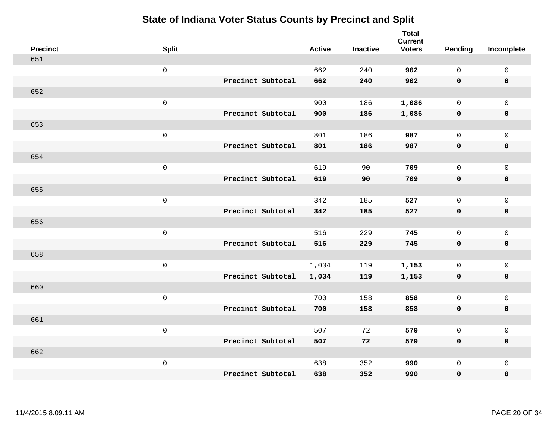| <b>Precinct</b> | <b>Split</b>        |                   | <b>Active</b> | <b>Inactive</b> | <b>Total</b><br><b>Current</b><br><b>Voters</b> | Pending      | Incomplete          |
|-----------------|---------------------|-------------------|---------------|-----------------|-------------------------------------------------|--------------|---------------------|
| 651             |                     |                   |               |                 |                                                 |              |                     |
|                 | $\mathsf 0$         |                   | 662           | 240             | 902                                             | $\mathbf{0}$ | $\mathsf 0$         |
|                 |                     | Precinct Subtotal | 662           | 240             | 902                                             | $\mathbf 0$  | $\mathbf 0$         |
| 652             |                     |                   |               |                 |                                                 |              |                     |
|                 | $\mathsf 0$         |                   | 900           | 186             | 1,086                                           | $\mathbf 0$  | $\mathsf{O}$        |
|                 |                     | Precinct Subtotal | 900           | 186             | 1,086                                           | 0            | 0                   |
| 653             |                     |                   |               |                 |                                                 |              |                     |
|                 | $\mathsf 0$         |                   | 801           | 186             | 987                                             | $\mathbf{0}$ | $\mathsf{O}$        |
|                 |                     | Precinct Subtotal | 801           | 186             | 987                                             | 0            | $\pmb{0}$           |
| 654             |                     |                   |               |                 |                                                 |              |                     |
|                 | $\mathsf 0$         |                   | 619           | 90              | 709                                             | $\mathbf{0}$ | $\mathsf{O}\xspace$ |
|                 |                     | Precinct Subtotal | 619           | 90              | 709                                             | $\mathbf 0$  | $\pmb{0}$           |
| 655             |                     |                   |               |                 |                                                 |              |                     |
|                 | $\mathsf 0$         |                   | 342           | 185             | 527                                             | $\mathbf{0}$ | $\mathsf 0$         |
|                 |                     | Precinct Subtotal | 342           | 185             | 527                                             | 0            | $\mathbf 0$         |
| 656             |                     |                   |               |                 |                                                 |              |                     |
|                 | $\mathbf 0$         |                   | 516           | 229             | 745                                             | $\mathbf 0$  | $\mathsf{O}\xspace$ |
|                 |                     | Precinct Subtotal | 516           | 229             | 745                                             | $\mathbf 0$  | 0                   |
| 658             |                     |                   |               |                 |                                                 |              |                     |
|                 | $\mathbf 0$         |                   | 1,034         | 119             | 1,153                                           | $\mathbf 0$  | $\mathsf{O}\xspace$ |
|                 |                     | Precinct Subtotal | 1,034         | 119             | 1,153                                           | 0            | 0                   |
| 660             |                     |                   |               |                 |                                                 |              |                     |
|                 | $\mathsf{O}\xspace$ |                   | 700           | 158             | 858                                             | $\mathbf 0$  | $\mathsf{O}\xspace$ |
|                 |                     | Precinct Subtotal | 700           | 158             | 858                                             | 0            | 0                   |
| 661             |                     |                   |               |                 |                                                 |              |                     |
|                 | $\mathsf 0$         |                   | 507           | 72              | 579                                             | $\mathbf 0$  | $\mathsf 0$         |
|                 |                     | Precinct Subtotal | 507           | 72              | 579                                             | 0            | 0                   |
| 662             |                     |                   |               |                 |                                                 |              |                     |
|                 | $\mathbf 0$         |                   | 638           | 352             | 990                                             | $\mathsf{O}$ | $\mathsf{O}$        |
|                 |                     | Precinct Subtotal | 638           | 352             | 990                                             | 0            | 0                   |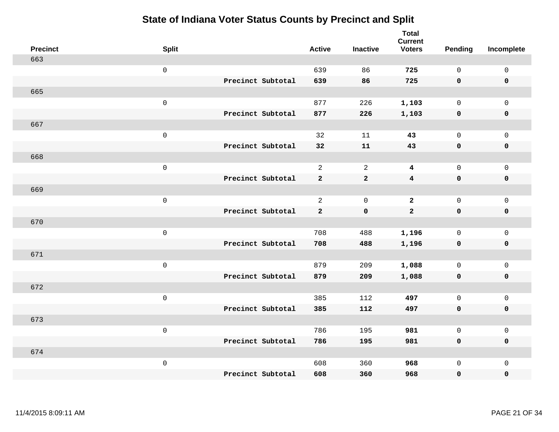| <b>Precinct</b> | <b>Split</b>        |                   | <b>Active</b>  | <b>Inactive</b> | <b>Total</b><br><b>Current</b><br><b>Voters</b> | Pending      | Incomplete          |
|-----------------|---------------------|-------------------|----------------|-----------------|-------------------------------------------------|--------------|---------------------|
| 663             |                     |                   |                |                 |                                                 |              |                     |
|                 | $\mathsf 0$         |                   | 639            | 86              | 725                                             | $\mathbf{0}$ | $\mathsf{O}\xspace$ |
|                 |                     | Precinct Subtotal | 639            | 86              | 725                                             | $\mathbf 0$  | $\mathbf 0$         |
| 665             |                     |                   |                |                 |                                                 |              |                     |
|                 | $\mathsf 0$         |                   | 877            | 226             | 1,103                                           | $\mathbf 0$  | $\mathsf{O}$        |
|                 |                     | Precinct Subtotal | 877            | 226             | 1,103                                           | 0            | 0                   |
| 667             |                     |                   |                |                 |                                                 |              |                     |
|                 | $\mathsf 0$         |                   | 32             | 11              | 43                                              | $\mathbf 0$  | $\mathsf{O}$        |
|                 |                     | Precinct Subtotal | 32             | ${\bf 11}$      | 43                                              | $\mathbf 0$  | $\pmb{0}$           |
| 668             |                     |                   |                |                 |                                                 |              |                     |
|                 | $\mathsf 0$         |                   | $\overline{a}$ | $\overline{a}$  | $\overline{\mathbf{4}}$                         | $\mathbf 0$  | $\mathsf{O}\xspace$ |
|                 |                     | Precinct Subtotal | $\mathbf{2}$   | $\mathbf{2}$    | $\overline{\mathbf{4}}$                         | $\mathbf 0$  | $\pmb{0}$           |
| 669             |                     |                   |                |                 |                                                 |              |                     |
|                 | $\mathsf 0$         |                   | $\overline{a}$ | $\mathbf 0$     | $\overline{2}$                                  | $\mathbf 0$  | $\mathsf{O}\xspace$ |
|                 |                     | Precinct Subtotal | $\mathbf{2}$   | $\mathbf 0$     | $\overline{a}$                                  | $\mathbf 0$  | $\mathbf 0$         |
| 670             |                     |                   |                |                 |                                                 |              |                     |
|                 | $\mathbf 0$         |                   | 708            | 488             | 1,196                                           | $\mathbf 0$  | $\mathsf{O}\xspace$ |
|                 |                     | Precinct Subtotal | 708            | 488             | 1,196                                           | $\mathbf 0$  | 0                   |
| 671             |                     |                   |                |                 |                                                 |              |                     |
|                 | $\mathbf 0$         |                   | 879            | 209             | 1,088                                           | $\mathbf 0$  | $\mathsf{O}\xspace$ |
|                 |                     | Precinct Subtotal | 879            | 209             | 1,088                                           | 0            | 0                   |
| 672             |                     |                   |                |                 |                                                 |              |                     |
|                 | $\mathsf{O}\xspace$ |                   | 385            | 112             | 497                                             | $\mathbf 0$  | $\mathsf{O}\xspace$ |
|                 |                     | Precinct Subtotal | 385            | 112             | 497                                             | 0            | 0                   |
| 673             |                     |                   |                |                 |                                                 |              |                     |
|                 | $\mathbf 0$         |                   | 786            | 195             | 981                                             | $\mathbf 0$  | $\mathsf 0$         |
|                 |                     | Precinct Subtotal | 786            | 195             | 981                                             | 0            | 0                   |
| 674             |                     |                   |                |                 |                                                 |              |                     |
|                 | $\mathbf 0$         |                   | 608            | 360             | 968                                             | $\mathsf{O}$ | $\mathsf{O}$        |
|                 |                     | Precinct Subtotal | 608            | 360             | 968                                             | 0            | 0                   |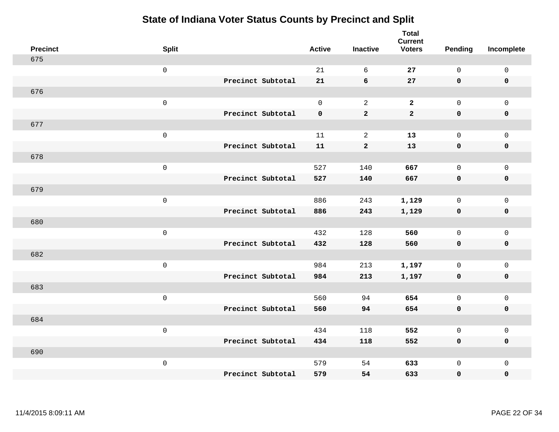| <b>Precinct</b> | <b>Split</b>        |                   | <b>Active</b> | <b>Inactive</b> | <b>Total</b><br><b>Current</b><br><b>Voters</b> | <b>Pending</b>      | Incomplete          |
|-----------------|---------------------|-------------------|---------------|-----------------|-------------------------------------------------|---------------------|---------------------|
| 675             |                     |                   |               |                 |                                                 |                     |                     |
|                 | $\mbox{O}$          |                   | 21            | 6               | 27                                              | $\mathsf{O}$        | $\mathsf 0$         |
|                 |                     | Precinct Subtotal | 21            | 6               | 27                                              | $\mathbf 0$         | $\mathbf 0$         |
| 676             |                     |                   |               |                 |                                                 |                     |                     |
|                 | $\mathsf{O}\xspace$ |                   | $\mathsf{O}$  | 2               | $\mathbf{2}$                                    | $\mathsf{O}\xspace$ | $\mathsf 0$         |
|                 |                     | Precinct Subtotal | $\mathbf 0$   | $\mathbf 2$     | $\mathbf{2}$                                    | $\mathbf 0$         | $\pmb{0}$           |
| 677             |                     |                   |               |                 |                                                 |                     |                     |
|                 | $\mbox{O}$          |                   | 11            | $\sqrt{2}$      | 13                                              | $\mathsf{O}$        | $\mathsf 0$         |
|                 |                     | Precinct Subtotal | 11            | $\mathbf{2}$    | 13                                              | $\mathbf 0$         | $\mathbf 0$         |
| 678             |                     |                   |               |                 |                                                 |                     |                     |
|                 | $\mathsf 0$         |                   | 527           | 140             | 667                                             | $\mathsf{O}$        | $\mathsf 0$         |
|                 |                     | Precinct Subtotal | 527           | 140             | 667                                             | $\mathbf 0$         | $\pmb{0}$           |
| 679             |                     |                   |               |                 |                                                 |                     |                     |
|                 | $\mathsf 0$         |                   | 886           | 243             | 1,129                                           | $\mathsf{O}$        | $\mathsf 0$         |
|                 |                     | Precinct Subtotal | 886           | 243             | 1,129                                           | $\mathbf 0$         | $\mathbf 0$         |
| 680             |                     |                   |               |                 |                                                 |                     |                     |
|                 | $\mathsf 0$         |                   | 432           | 128             | 560                                             | $\mathbf 0$         | $\mathsf{O}\xspace$ |
|                 |                     | Precinct Subtotal | 432           | 128             | 560                                             | $\mathbf 0$         | $\mathbf 0$         |
| 682             |                     |                   |               |                 |                                                 |                     |                     |
|                 | $\mathsf 0$         |                   | 984           | 213             | 1,197                                           | $\mathbf 0$         | $\mathsf 0$         |
|                 |                     | Precinct Subtotal | 984           | 213             | 1,197                                           | $\mathbf 0$         | $\mathbf 0$         |
| 683             |                     |                   |               |                 |                                                 |                     |                     |
|                 | $\mathsf 0$         |                   | 560           | 94              | 654                                             | $\mathsf{O}$        | $\mathsf{O}\xspace$ |
|                 |                     | Precinct Subtotal | 560           | 94              | 654                                             | $\mathbf 0$         | $\mathbf 0$         |
| 684             |                     |                   |               |                 |                                                 |                     |                     |
|                 | $\mathsf{O}\xspace$ |                   | 434           | 118             | 552                                             | $\mathbf 0$         | $\mathsf{O}\xspace$ |
|                 |                     | Precinct Subtotal | 434           | 118             | 552                                             | $\mathbf 0$         | $\mathbf 0$         |
| 690             |                     |                   |               |                 |                                                 |                     |                     |
|                 | $\mathbf 0$         | Precinct Subtotal | 579           | 54<br>54        | 633                                             | $\mathsf{O}$        | $\mathbf 0$         |
|                 |                     |                   | 579           |                 | 633                                             | 0                   | $\pmb{0}$           |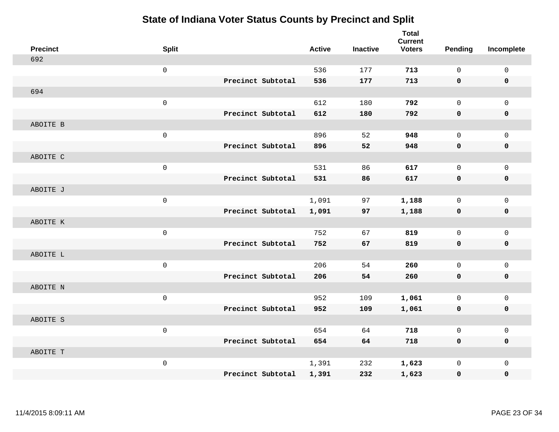| <b>Precinct</b> | <b>Split</b> |                   | <b>Active</b> | <b>Inactive</b> | <b>Total</b><br><b>Current</b><br><b>Voters</b> | <b>Pending</b> | Incomplete          |
|-----------------|--------------|-------------------|---------------|-----------------|-------------------------------------------------|----------------|---------------------|
| 692             |              |                   |               |                 |                                                 |                |                     |
|                 | $\mathsf 0$  |                   | 536           | 177             | 713                                             | $\mathbf 0$    | $\mathsf{O}\xspace$ |
|                 |              | Precinct Subtotal | 536           | 177             | 713                                             | 0              | $\mathbf 0$         |
| 694             |              |                   |               |                 |                                                 |                |                     |
|                 | $\mathsf 0$  |                   | 612           | 180             | 792                                             | $\mathbf 0$    | $\mathsf{O}$        |
|                 |              | Precinct Subtotal | 612           | 180             | 792                                             | $\mathbf 0$    | 0                   |
| ABOITE B        |              |                   |               |                 |                                                 |                |                     |
|                 | $\mathsf 0$  |                   | 896           | 52              | 948                                             | $\mathbf 0$    | $\mathsf{O}$        |
|                 |              | Precinct Subtotal | 896           | 52              | 948                                             | 0              | 0                   |
| ABOITE C        |              |                   |               |                 |                                                 |                |                     |
|                 | $\mathsf 0$  |                   | 531           | 86              | 617                                             | $\mathbf 0$    | $\mathsf{O}$        |
|                 |              | Precinct Subtotal | 531           | 86              | 617                                             | $\mathbf 0$    | $\pmb{0}$           |
| ABOITE J        |              |                   |               |                 |                                                 |                |                     |
|                 | $\mathbf 0$  |                   | 1,091         | 97              | 1,188                                           | $\mathbf 0$    | $\mathbf 0$         |
|                 |              | Precinct Subtotal | 1,091         | 97              | 1,188                                           | 0              | $\mathbf 0$         |
| ABOITE K        |              |                   |               |                 |                                                 |                |                     |
|                 | $\mathsf{O}$ |                   | 752           | 67              | 819                                             | $\mathbf 0$    | $\mathsf{O}$        |
|                 |              | Precinct Subtotal | 752           | 67              | 819                                             | $\mathbf 0$    | 0                   |
| ABOITE L        |              |                   |               |                 |                                                 |                |                     |
|                 | $\mathsf 0$  |                   | 206           | 54              | 260                                             | $\mathbf 0$    | $\mathsf{O}\xspace$ |
|                 |              | Precinct Subtotal | 206           | 54              | 260                                             | 0              | 0                   |
| ABOITE N        |              |                   |               |                 |                                                 |                |                     |
|                 | $\mathsf{O}$ |                   | 952           | 109             | 1,061                                           | $\mathbf 0$    | $\mathsf{O}$        |
|                 |              | Precinct Subtotal | 952           | 109             | 1,061                                           | $\mathbf 0$    | 0                   |
| ABOITE S        |              |                   |               |                 |                                                 |                |                     |
|                 | $\mathsf 0$  |                   | 654           | 64              | 718                                             | $\mathbf 0$    | $\mathsf{O}$        |
|                 |              | Precinct Subtotal | 654           | 64              | 718                                             | 0              | 0                   |
| ABOITE T        |              |                   |               |                 |                                                 |                |                     |
|                 | $\mathsf 0$  |                   | 1,391         | 232             | 1,623                                           | $\mathbf 0$    | $\mathsf{O}$        |
|                 |              | Precinct Subtotal | 1,391         | 232             | 1,623                                           | 0              | 0                   |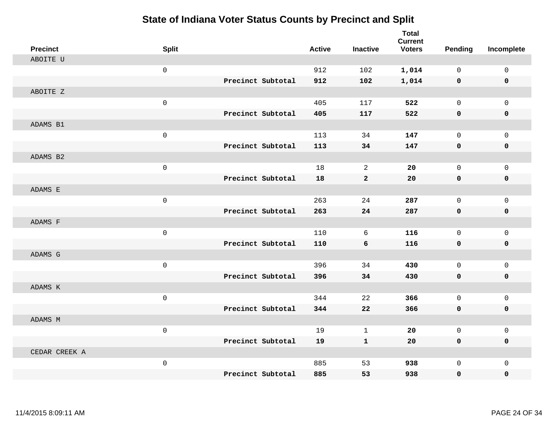| <b>Precinct</b> | <b>Split</b> |                   | <b>Active</b> | <b>Inactive</b> | <b>Total</b><br><b>Current</b><br><b>Voters</b> | <b>Pending</b> | Incomplete   |
|-----------------|--------------|-------------------|---------------|-----------------|-------------------------------------------------|----------------|--------------|
| ABOITE U        |              |                   |               |                 |                                                 |                |              |
|                 | $\mathsf 0$  |                   | 912           | 102             | 1,014                                           | $\mathbf 0$    | 0            |
|                 |              | Precinct Subtotal | 912           | 102             | 1,014                                           | 0              | $\mathbf 0$  |
| ABOITE Z        |              |                   |               |                 |                                                 |                |              |
|                 | $\mathbf 0$  |                   | 405           | 117             | 522                                             | $\mathbf 0$    | $\mathbf{0}$ |
|                 |              | Precinct Subtotal | 405           | 117             | 522                                             | 0              | $\pmb{0}$    |
| ADAMS B1        |              |                   |               |                 |                                                 |                |              |
|                 | $\mathsf 0$  |                   | 113           | 34              | 147                                             | $\mathbf 0$    | $\mathsf{O}$ |
|                 |              | Precinct Subtotal | 113           | 34              | 147                                             | 0              | 0            |
| ADAMS B2        |              |                   |               |                 |                                                 |                |              |
|                 | $\mathsf 0$  |                   | 18            | 2               | 20                                              | $\mathbf 0$    | $\mathsf{O}$ |
|                 |              | Precinct Subtotal | 18            | $\mathbf{2}$    | 20                                              | 0              | 0            |
| ADAMS E         |              |                   |               |                 |                                                 |                |              |
|                 | $\mathsf 0$  |                   | 263           | 24              | 287                                             | $\mathbf 0$    | $\mathsf{O}$ |
|                 |              | Precinct Subtotal | 263           | 24              | 287                                             | 0              | 0            |
| ADAMS F         |              |                   |               |                 |                                                 |                |              |
|                 | $\mathsf 0$  |                   | 110           | 6               | 116                                             | $\mathbf 0$    | $\mathbf 0$  |
|                 |              | Precinct Subtotal | 110           | 6               | 116                                             | $\mathbf 0$    | 0            |
| ADAMS G         |              |                   |               |                 |                                                 |                |              |
|                 | $\mathsf 0$  |                   | 396           | 34              | 430                                             | $\mathbf 0$    | $\mathbf 0$  |
|                 |              | Precinct Subtotal | 396           | 34              | 430                                             | $\mathbf 0$    | 0            |
| ADAMS K         |              |                   |               |                 |                                                 |                |              |
|                 | $\mathsf 0$  |                   | 344           | 22              | 366                                             | $\mathbf 0$    | $\mathsf{O}$ |
|                 |              | Precinct Subtotal | 344           | 22              | 366                                             | 0              | 0            |
| ADAMS M         |              |                   |               |                 |                                                 |                |              |
|                 | $\mathsf 0$  |                   | 19            | $\mathbf 1$     | 20                                              | $\mathbf 0$    | $\mathsf{O}$ |
|                 |              | Precinct Subtotal | 19            | $\mathbf{1}$    | 20                                              | 0              | 0            |
| CEDAR CREEK A   |              |                   |               |                 |                                                 |                |              |
|                 | $\mathsf 0$  |                   | 885           | 53              | 938                                             | $\mathbf 0$    | $\mathsf{O}$ |
|                 |              | Precinct Subtotal | 885           | 53              | 938                                             | 0              | 0            |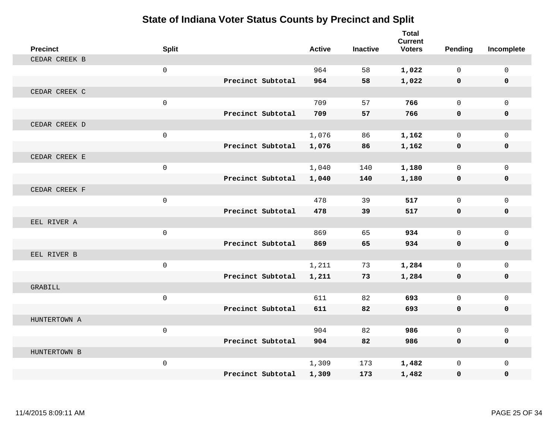| <b>Precinct</b> | <b>Split</b> |                   | <b>Active</b> | <b>Inactive</b> | <b>Total</b><br><b>Current</b><br><b>Voters</b> | Pending      | Incomplete   |
|-----------------|--------------|-------------------|---------------|-----------------|-------------------------------------------------|--------------|--------------|
| CEDAR CREEK B   |              |                   |               |                 |                                                 |              |              |
|                 | $\mathbf 0$  |                   | 964           | 58              | 1,022                                           | $\Omega$     | $\mathbf 0$  |
|                 |              | Precinct Subtotal | 964           | 58              | 1,022                                           | $\mathbf 0$  | $\mathbf 0$  |
| CEDAR CREEK C   |              |                   |               |                 |                                                 |              |              |
|                 | $\mathsf 0$  |                   | 709           | 57              | 766                                             | $\mathbf 0$  | $\mathbf{0}$ |
|                 |              | Precinct Subtotal | 709           | 57              | 766                                             | $\mathbf{0}$ | 0            |
| CEDAR CREEK D   |              |                   |               |                 |                                                 |              |              |
|                 | $\mathsf 0$  |                   | 1,076         | 86              | 1,162                                           | $\mathbf 0$  | $\mathbf 0$  |
|                 |              | Precinct Subtotal | 1,076         | 86              | 1,162                                           | 0            | 0            |
| CEDAR CREEK E   |              |                   |               |                 |                                                 |              |              |
|                 | $\mathsf{O}$ |                   | 1,040         | 140             | 1,180                                           | $\mathbf 0$  | $\mathbf 0$  |
|                 |              | Precinct Subtotal | 1,040         | 140             | 1,180                                           | 0            | 0            |
| CEDAR CREEK F   |              |                   |               |                 |                                                 |              |              |
|                 | $\mathbf 0$  |                   | 478           | 39              | 517                                             | $\Omega$     | $\mathbf 0$  |
|                 |              | Precinct Subtotal | 478           | 39              | 517                                             | 0            | 0            |
| EEL RIVER A     |              |                   |               |                 |                                                 |              |              |
|                 | $\mathsf{O}$ |                   | 869           | 65              | 934                                             | $\mathbf 0$  | $\mathbf{0}$ |
|                 |              | Precinct Subtotal | 869           | 65              | 934                                             | $\mathbf 0$  | 0            |
| EEL RIVER B     |              |                   |               |                 |                                                 |              |              |
|                 | $\mathsf{O}$ |                   | 1,211         | 73              | 1,284                                           | $\mathbf 0$  | $\mathbf 0$  |
|                 |              | Precinct Subtotal | 1,211         | 73              | 1,284                                           | 0            | 0            |
| <b>GRABILL</b>  |              |                   |               |                 |                                                 |              |              |
|                 | $\mathsf 0$  |                   | 611           | 82              | 693                                             | $\Omega$     | $\mathbf{0}$ |
|                 |              | Precinct Subtotal | 611           | 82              | 693                                             | $\mathbf 0$  | 0            |
| HUNTERTOWN A    |              |                   |               |                 |                                                 |              |              |
|                 | $\mathbf 0$  |                   | 904           | 82              | 986                                             | $\Omega$     | $\mathbf 0$  |
|                 |              | Precinct Subtotal | 904           | 82              | 986                                             | 0            | 0            |
| HUNTERTOWN B    |              |                   |               |                 |                                                 |              |              |
|                 | $\mathsf{O}$ |                   | 1,309         | 173             | 1,482                                           | $\mathbf 0$  | $\mathbf{0}$ |
|                 |              | Precinct Subtotal | 1,309         | 173             | 1,482                                           | 0            | $\Omega$     |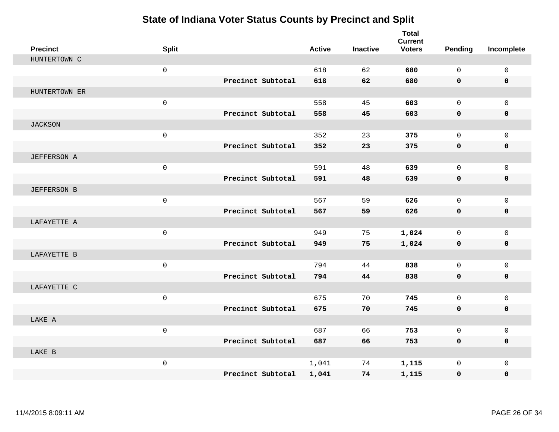| <b>Precinct</b>    | <b>Split</b> |                   | <b>Active</b> | <b>Inactive</b> | <b>Total</b><br><b>Current</b><br><b>Voters</b> | Pending      | Incomplete   |
|--------------------|--------------|-------------------|---------------|-----------------|-------------------------------------------------|--------------|--------------|
| HUNTERTOWN C       |              |                   |               |                 |                                                 |              |              |
|                    | $\mathsf{O}$ |                   | 618           | 62              | 680                                             | $\Omega$     | $\mathbf 0$  |
|                    |              | Precinct Subtotal | 618           | 62              | 680                                             | $\mathbf 0$  | $\mathbf 0$  |
| HUNTERTOWN ER      |              |                   |               |                 |                                                 |              |              |
|                    | $\mathsf{O}$ |                   | 558           | 45              | 603                                             | $\mathbf 0$  | $\mathbf{0}$ |
|                    |              | Precinct Subtotal | 558           | 45              | 603                                             | $\mathbf 0$  | 0            |
| <b>JACKSON</b>     |              |                   |               |                 |                                                 |              |              |
|                    | $\mathsf{O}$ |                   | 352           | 23              | 375                                             | $\Omega$     | $\mathbf 0$  |
|                    |              | Precinct Subtotal | 352           | 23              | 375                                             | 0            | $\mathbf 0$  |
| <b>JEFFERSON A</b> |              |                   |               |                 |                                                 |              |              |
|                    | $\mathsf{O}$ |                   | 591           | 48              | 639                                             | $\mathbf 0$  | $\mathbf{0}$ |
|                    |              | Precinct Subtotal | 591           | 48              | 639                                             | $\mathbf 0$  | 0            |
| <b>JEFFERSON B</b> |              |                   |               |                 |                                                 |              |              |
|                    | $\mathsf{O}$ |                   | 567           | 59              | 626                                             | $\mathbf 0$  | $\mathbf{0}$ |
|                    |              | Precinct Subtotal | 567           | 59              | 626                                             | 0            | 0            |
| LAFAYETTE A        |              |                   |               |                 |                                                 |              |              |
|                    | $\mathsf{O}$ |                   | 949           | 75              | 1,024                                           | $\mathbf 0$  | $\mathbf 0$  |
|                    |              | Precinct Subtotal | 949           | 75              | 1,024                                           | 0            | 0            |
| LAFAYETTE B        |              |                   |               |                 |                                                 |              |              |
|                    | $\mathbf 0$  |                   | 794           | 44              | 838                                             | $\mathbf 0$  | $\mathbf 0$  |
|                    |              | Precinct Subtotal | 794           | 44              | 838                                             | 0            | 0            |
| LAFAYETTE C        |              |                   |               |                 |                                                 |              |              |
|                    | $\mathsf 0$  |                   | 675           | 70              | 745                                             | $\mathbf{0}$ | $\mathbf 0$  |
|                    |              | Precinct Subtotal | 675           | 70              | 745                                             | 0            | 0            |
| LAKE A             |              |                   |               |                 |                                                 |              |              |
|                    | $\mathbf 0$  |                   | 687           | 66              | 753                                             | $\mathbf 0$  | $\mathbf 0$  |
|                    |              | Precinct Subtotal | 687           | 66              | 753                                             | 0            | 0            |
| LAKE B             |              |                   |               |                 |                                                 |              |              |
|                    | $\mathsf{O}$ |                   | 1,041         | 74              | 1,115                                           | $\mathbf 0$  | $\mathbf 0$  |
|                    |              | Precinct Subtotal | 1,041         | 74              | 1,115                                           | 0            | 0            |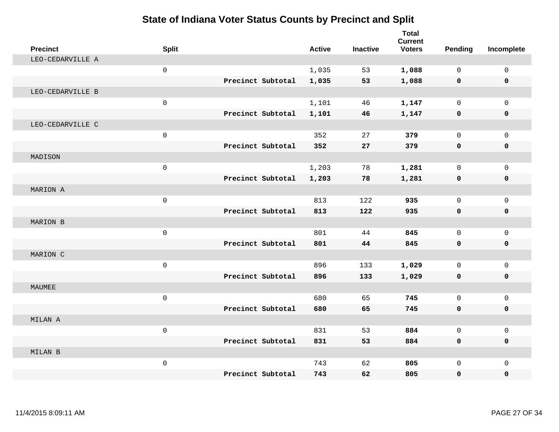| <b>Precinct</b>  | <b>Split</b>        |                   |                   | <b>Active</b> | <b>Inactive</b> | <b>Total</b><br><b>Current</b><br><b>Voters</b> | Pending      | Incomplete   |
|------------------|---------------------|-------------------|-------------------|---------------|-----------------|-------------------------------------------------|--------------|--------------|
| LEO-CEDARVILLE A |                     |                   |                   |               |                 |                                                 |              |              |
|                  | $\mathsf{O}\xspace$ |                   |                   | 1,035         | 53              | 1,088                                           | $\Omega$     | $\mathsf{O}$ |
|                  |                     | Precinct Subtotal |                   | 1,035         | 53              | 1,088                                           | 0            | 0            |
| LEO-CEDARVILLE B |                     |                   |                   |               |                 |                                                 |              |              |
|                  | $\mathsf{O}\xspace$ |                   |                   | 1,101         | 46              | 1,147                                           | $\mathbf 0$  | $\mathbf{0}$ |
|                  |                     |                   | Precinct Subtotal | 1,101         | 46              | 1,147                                           | 0            | 0            |
| LEO-CEDARVILLE C |                     |                   |                   |               |                 |                                                 |              |              |
|                  | $\mathsf{O}$        |                   |                   | 352           | 27              | 379                                             | $\Omega$     | $\mathbf 0$  |
|                  |                     | Precinct Subtotal |                   | 352           | 27              | 379                                             | 0            | 0            |
| MADISON          |                     |                   |                   |               |                 |                                                 |              |              |
|                  | $\mathsf{O}\xspace$ |                   |                   | 1,203         | 78              | 1,281                                           | $\mathbf 0$  | $\mathbf{0}$ |
|                  |                     |                   | Precinct Subtotal | 1,203         | 78              | 1,281                                           | 0            | 0            |
| MARION A         |                     |                   |                   |               |                 |                                                 |              |              |
|                  | $\mathsf 0$         |                   |                   | 813           | 122             | 935                                             | $\mathbf 0$  | $\mathbf 0$  |
|                  |                     |                   | Precinct Subtotal | 813           | 122             | 935                                             | 0            | 0            |
| MARION B         |                     |                   |                   |               |                 |                                                 |              |              |
|                  | $\mathbf 0$         |                   |                   | 801           | 44              | 845                                             | $\Omega$     | $\mathsf{O}$ |
|                  |                     | Precinct Subtotal |                   | 801           | 44              | 845                                             | 0            | 0            |
| MARION C         |                     |                   |                   |               |                 |                                                 |              |              |
|                  | $\mathbf 0$         |                   |                   | 896           | 133             | 1,029                                           | $\mathbf 0$  | $\mathsf{O}$ |
|                  |                     | Precinct Subtotal |                   | 896           | 133             | 1,029                                           | 0            | $\mathbf 0$  |
| MAUMEE           |                     |                   |                   |               |                 |                                                 |              |              |
|                  | $\mathsf{O}\xspace$ |                   |                   | 680           | 65              | 745                                             | $\mathbf 0$  | $\mathbf 0$  |
|                  |                     | Precinct Subtotal |                   | 680           | 65              | 745                                             | 0            | 0            |
| MILAN A          |                     |                   |                   |               |                 |                                                 |              |              |
|                  | $\mathbf 0$         |                   |                   | 831           | 53              | 884                                             | $\mathbf 0$  | $\mathbf 0$  |
|                  |                     | Precinct Subtotal |                   | 831           | 53              | 884                                             | 0            | $\mathbf 0$  |
| MILAN B          |                     |                   |                   |               |                 |                                                 |              |              |
|                  | $\mathsf 0$         |                   |                   | 743           | 62              | 805                                             | $\mathbf{0}$ | $\mathbf 0$  |
|                  |                     | Precinct Subtotal |                   | 743           | 62              | 805                                             | 0            | $\mathbf 0$  |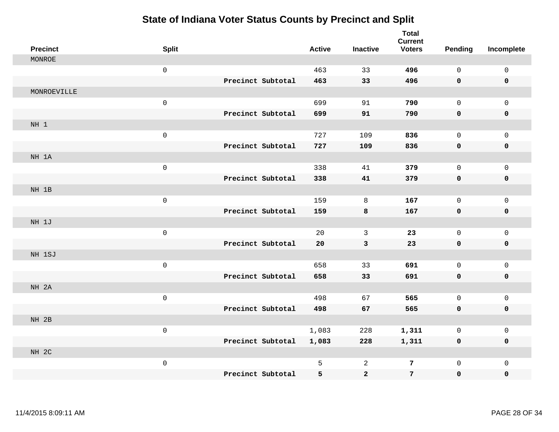| <b>Precinct</b> | <b>Split</b>        |                   | <b>Active</b> | <b>Inactive</b> | <b>Total</b><br><b>Current</b><br><b>Voters</b> | <b>Pending</b> | Incomplete          |
|-----------------|---------------------|-------------------|---------------|-----------------|-------------------------------------------------|----------------|---------------------|
| MONROE          |                     |                   |               |                 |                                                 |                |                     |
|                 | $\mathsf 0$         |                   | 463           | 33              | 496                                             | $\mathbf 0$    | $\mathsf 0$         |
|                 |                     | Precinct Subtotal | 463           | 33              | 496                                             | $\mathbf 0$    | $\mathbf 0$         |
| MONROEVILLE     |                     |                   |               |                 |                                                 |                |                     |
|                 | $\mathsf{O}\xspace$ |                   | 699           | 91              | 790                                             | $\mathsf{O}$   | $\mathbf 0$         |
|                 |                     | Precinct Subtotal | 699           | 91              | 790                                             | $\mathbf 0$    | $\pmb{0}$           |
| NH <sub>1</sub> |                     |                   |               |                 |                                                 |                |                     |
|                 | $\mathsf 0$         |                   | 727           | 109             | 836                                             | $\mathbf 0$    | $\mathsf 0$         |
|                 |                     | Precinct Subtotal | 727           | 109             | 836                                             | $\mathbf 0$    | $\mathbf 0$         |
| NH 1A           |                     |                   |               |                 |                                                 |                |                     |
|                 | $\mathsf{O}\xspace$ |                   | 338           | 41              | 379                                             | $\mathbf 0$    | $\mathbf 0$         |
|                 |                     | Precinct Subtotal | 338           | 41              | 379                                             | 0              | $\pmb{0}$           |
| NH 1B           |                     |                   |               |                 |                                                 |                |                     |
|                 | $\mathsf 0$         |                   | 159           | 8               | 167                                             | $\mathbf 0$    | $\mathbf{0}$        |
|                 |                     | Precinct Subtotal | 159           | 8               | 167                                             | 0              | $\mathbf 0$         |
| NH 1J           |                     |                   |               |                 |                                                 |                |                     |
|                 | $\mathsf{O}\xspace$ |                   | 20            | $\mathbf{3}$    | 23                                              | $\mathsf{O}$   | $\mathsf{O}\xspace$ |
|                 |                     | Precinct Subtotal | 20            | $\mathsf 3$     | 23                                              | $\mathbf 0$    | $\pmb{0}$           |
| NH 1SJ          |                     |                   |               |                 |                                                 |                |                     |
|                 | $\mathsf{O}\xspace$ |                   | 658           | 33              | 691                                             | $\mathbf 0$    | $\mathsf{O}\xspace$ |
|                 |                     | Precinct Subtotal | 658           | 33              | 691                                             | 0              | $\mathbf 0$         |
| NH 2A           |                     |                   |               |                 |                                                 |                |                     |
|                 | $\mathsf{O}\xspace$ |                   | 498           | 67              | 565                                             | $\mathbf 0$    | $\mathsf{O}\xspace$ |
|                 |                     | Precinct Subtotal | 498           | 67              | 565                                             | $\mathbf 0$    | $\pmb{0}$           |
| NH 2B           |                     |                   |               |                 |                                                 |                |                     |
|                 | $\mathsf 0$         |                   | 1,083         | 228             | 1,311                                           | 0              | $\mathsf 0$         |
|                 |                     | Precinct Subtotal | 1,083         | 228             | 1,311                                           | 0              | 0                   |
| NH 2C           |                     |                   |               |                 |                                                 |                |                     |
|                 | $\mathsf 0$         |                   | 5             | 2               | 7                                               | $\mathsf{O}$   | $\mathbf 0$         |
|                 |                     | Precinct Subtotal | 5             | $\bf{2}$        | $\overline{7}$                                  | 0              | 0                   |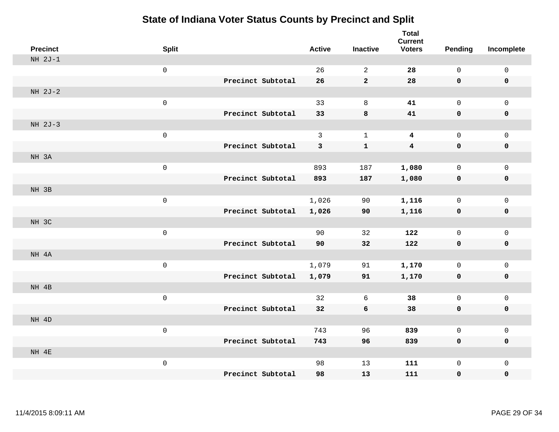| <b>Precinct</b> | <b>Split</b>        |                   | <b>Active</b> | <b>Inactive</b> | <b>Total</b><br><b>Current</b><br><b>Voters</b> | <b>Pending</b> | Incomplete          |
|-----------------|---------------------|-------------------|---------------|-----------------|-------------------------------------------------|----------------|---------------------|
| $NH 2J-1$       |                     |                   |               |                 |                                                 |                |                     |
|                 | $\mathsf 0$         |                   | 26            | $\overline{2}$  | 28                                              | $\mathsf{O}$   | $\mathsf 0$         |
|                 |                     | Precinct Subtotal | 26            | $\mathbf{2}$    | 28                                              | 0              | $\mathbf 0$         |
| NH 2J-2         |                     |                   |               |                 |                                                 |                |                     |
|                 | $\mathsf{O}\xspace$ |                   | 33            | $\,8\,$         | 41                                              | $\mathsf 0$    | $\mathsf{O}\xspace$ |
|                 |                     | Precinct Subtotal | 33            | $\bf8$          | 41                                              | 0              | $\pmb{0}$           |
| NH 2J-3         |                     |                   |               |                 |                                                 |                |                     |
|                 | $\mathsf 0$         |                   | $\mathbf{3}$  | $\mathbf{1}$    | $\overline{\mathbf{4}}$                         | $\mathsf{O}$   | $\mathsf 0$         |
|                 |                     | Precinct Subtotal | 3             | $\mathbf{1}$    | $\boldsymbol{4}$                                | 0              | $\pmb{0}$           |
| NH 3A           |                     |                   |               |                 |                                                 |                |                     |
|                 | $\mathsf 0$         |                   | 893           | 187             | 1,080                                           | $\mathsf{O}$   | $\mathsf{O}\xspace$ |
|                 |                     | Precinct Subtotal | 893           | 187             | 1,080                                           | $\mathbf 0$    | 0                   |
| NH 3B           |                     |                   |               |                 |                                                 |                |                     |
|                 | $\mathsf 0$         |                   | 1,026         | 90              | 1,116                                           | $\mathsf{O}$   | $\mathsf 0$         |
|                 |                     | Precinct Subtotal | 1,026         | 90              | 1,116                                           | 0              | $\mathbf 0$         |
| NH 3C           |                     |                   |               |                 |                                                 |                |                     |
|                 | $\mathsf 0$         |                   | 90            | 32              | 122                                             | $\mathsf{O}$   | $\mathsf{O}\xspace$ |
|                 |                     | Precinct Subtotal | 90            | 32              | 122                                             | $\mathbf 0$    | $\pmb{0}$           |
| NH 4A           |                     |                   |               |                 |                                                 |                |                     |
|                 | $\mathsf 0$         |                   | 1,079         | 91              | 1,170                                           | $\mathbf 0$    | $\mathbf 0$         |
|                 |                     | Precinct Subtotal | 1,079         | 91              | 1,170                                           | $\mathbf 0$    | $\mathbf 0$         |
| NH 4B           |                     |                   |               |                 |                                                 |                |                     |
|                 | $\mathsf 0$         |                   | 32            | 6               | 38                                              | $\mathsf{O}$   | $\mathsf 0$         |
|                 |                     | Precinct Subtotal | 32            | 6               | 38                                              | $\mathbf 0$    | $\mathbf 0$         |
| NH 4D           |                     |                   |               |                 |                                                 |                |                     |
|                 | $\mathsf 0$         |                   | 743           | 96              | 839                                             | $\mathbf 0$    | $\mathsf 0$         |
|                 |                     | Precinct Subtotal | 743           | 96              | 839                                             | 0              | $\mathbf 0$         |
| NH 4E           |                     |                   |               |                 |                                                 |                |                     |
|                 | $\mathsf 0$         |                   | 98            | 13              | 111                                             | $\mathsf{O}$   | $\mathbf 0$         |
|                 |                     | Precinct Subtotal | 98            | 13              | 111                                             | 0              | 0                   |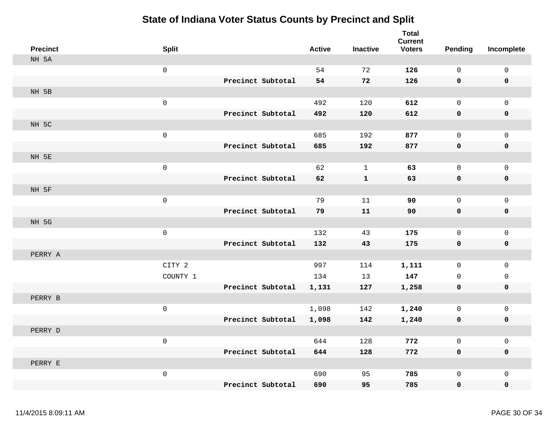| <b>Precinct</b> | <b>Split</b>        |                   | <b>Active</b> | <b>Inactive</b> | <b>Total</b><br><b>Current</b><br><b>Voters</b> | <b>Pending</b>      | Incomplete          |
|-----------------|---------------------|-------------------|---------------|-----------------|-------------------------------------------------|---------------------|---------------------|
| NH 5A           |                     |                   |               |                 |                                                 |                     |                     |
|                 | $\mathsf{O}\xspace$ |                   | 54            | 72              | 126                                             | $\mathbf 0$         | 0                   |
|                 |                     | Precinct Subtotal | 54            | 72              | 126                                             | 0                   | $\mathbf 0$         |
| NH 5B           |                     |                   |               |                 |                                                 |                     |                     |
|                 | $\mathbf 0$         |                   | 492           | 120             | 612                                             | $\mathsf{O}$        | $\mathbf{0}$        |
|                 |                     | Precinct Subtotal | 492           | 120             | 612                                             | 0                   | 0                   |
| NH 5C           |                     |                   |               |                 |                                                 |                     |                     |
|                 | $\mathsf 0$         |                   | 685           | 192             | 877                                             | $\mathbf 0$         | $\mathsf{O}$        |
|                 |                     | Precinct Subtotal | 685           | 192             | 877                                             | $\pmb{0}$           | $\pmb{0}$           |
| NH 5E           |                     |                   |               |                 |                                                 |                     |                     |
|                 | $\mathbf 0$         |                   | 62            | $\mathbf{1}$    | 63                                              | $\mathsf{O}\xspace$ | $\mathbf 0$         |
|                 |                     | Precinct Subtotal | 62            | $\mathbf{1}$    | 63                                              | 0                   | $\pmb{0}$           |
| NH 5F           |                     |                   |               |                 |                                                 |                     |                     |
|                 | $\mathbf 0$         |                   | 79            | 11              | 90                                              | $\mathbf 0$         | $\mathsf{O}$        |
|                 |                     | Precinct Subtotal | 79            | 11              | 90                                              | 0                   | $\pmb{0}$           |
| NH 5G           |                     |                   |               |                 |                                                 |                     |                     |
|                 | $\mathsf 0$         |                   | 132           | 43              | 175                                             | $\mathbf 0$         | $\mathsf{O}$        |
|                 |                     | Precinct Subtotal | 132           | 43              | 175                                             | 0                   | 0                   |
| PERRY A         |                     |                   |               |                 |                                                 |                     |                     |
|                 | CITY 2              |                   | 997           | 114             | 1,111                                           | 0                   | $\mathsf{O}$        |
|                 | COUNTY 1            |                   | 134           | 13              | 147                                             | $\mathbf 0$         | 0                   |
|                 |                     | Precinct Subtotal | 1,131         | 127             | 1,258                                           | 0                   | 0                   |
| PERRY B         |                     |                   |               |                 |                                                 |                     |                     |
|                 | $\mathsf 0$         |                   | 1,098         | 142             | 1,240                                           | $\mathbf 0$         | $\mathsf{O}\xspace$ |
|                 |                     | Precinct Subtotal | 1,098         | 142             | 1,240                                           | 0                   | 0                   |
| PERRY D         |                     |                   |               |                 |                                                 |                     |                     |
|                 | $\mathsf 0$         |                   | 644           | 128             | 772                                             | $\mathbf 0$         | $\mathsf{O}$        |
|                 |                     | Precinct Subtotal | 644           | 128             | 772                                             | $\mathbf 0$         | 0                   |
| PERRY E         |                     |                   |               |                 |                                                 |                     |                     |
|                 | $\mathsf 0$         |                   | 690           | 95              | 785                                             | $\mathbf 0$         | $\mathsf{O}$        |
|                 |                     | Precinct Subtotal | 690           | 95              | 785                                             | $\mathbf 0$         | $\mathbf 0$         |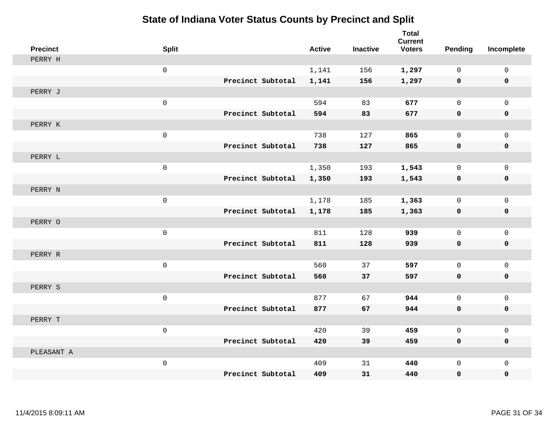| <b>Precinct</b> | <b>Split</b>        |                   | <b>Active</b> | <b>Inactive</b> | <b>Total</b><br><b>Current</b><br><b>Voters</b> | <b>Pending</b> | Incomplete   |
|-----------------|---------------------|-------------------|---------------|-----------------|-------------------------------------------------|----------------|--------------|
| PERRY H         |                     |                   |               |                 |                                                 |                |              |
|                 | $\mathsf{O}\xspace$ |                   | 1,141         | 156             | 1,297                                           | $\Omega$       | $\mathsf{O}$ |
|                 |                     | Precinct Subtotal | 1,141         | 156             | 1,297                                           | 0              | 0            |
| PERRY J         |                     |                   |               |                 |                                                 |                |              |
|                 | $\mathsf{O}\xspace$ |                   | 594           | 83              | 677                                             | $\mathbf 0$    | $\mathbf{0}$ |
|                 |                     | Precinct Subtotal | 594           | 83              | 677                                             | $\mathbf 0$    | 0            |
| PERRY K         |                     |                   |               |                 |                                                 |                |              |
|                 | $\mathsf 0$         |                   | 738           | 127             | 865                                             | $\Omega$       | $\mathbf 0$  |
|                 |                     | Precinct Subtotal | 738           | 127             | 865                                             | 0              | 0            |
| PERRY L         |                     |                   |               |                 |                                                 |                |              |
|                 | $\mathsf{O}\xspace$ |                   | 1,350         | 193             | 1,543                                           | $\mathbf 0$    | $\mathsf{O}$ |
|                 |                     | Precinct Subtotal | 1,350         | 193             | 1,543                                           | 0              | 0            |
| PERRY N         |                     |                   |               |                 |                                                 |                |              |
|                 | $\mathsf{O}\xspace$ |                   | 1,178         | 185             | 1,363                                           | $\mathbf 0$    | $\mathbf 0$  |
|                 |                     | Precinct Subtotal | 1,178         | 185             | 1,363                                           | 0              | 0            |
| PERRY O         |                     |                   |               |                 |                                                 |                |              |
|                 | $\mathbf 0$         |                   | 811           | 128             | 939                                             | $\mathbf 0$    | $\mathsf{O}$ |
|                 |                     | Precinct Subtotal | 811           | 128             | 939                                             | 0              | 0            |
| PERRY R         |                     |                   |               |                 |                                                 |                |              |
|                 | $\mathsf 0$         |                   | 560           | 37              | 597                                             | $\mathbf 0$    | $\mathsf{O}$ |
|                 |                     | Precinct Subtotal | 560           | 37              | 597                                             | 0              | $\mathbf 0$  |
| PERRY S         |                     |                   |               |                 |                                                 |                |              |
|                 | $\mathsf{O}\xspace$ |                   | 877           | 67              | 944                                             | $\mathbf 0$    | $\mathbf 0$  |
|                 |                     | Precinct Subtotal | 877           | 67              | 944                                             | 0              | 0            |
| PERRY T         |                     |                   |               |                 |                                                 |                |              |
|                 | $\mathbf 0$         |                   | 420           | 39              | 459                                             | $\mathbf 0$    | $\mathbf 0$  |
|                 |                     | Precinct Subtotal | 420           | 39              | 459                                             | 0              | 0            |
| PLEASANT A      |                     |                   |               |                 |                                                 |                |              |
|                 | $\mathsf{O}\xspace$ | Precinct Subtotal | 409           | 31              | 440                                             | $\mathbf 0$    | $\mathbf 0$  |
|                 |                     |                   | 409           | 31              | 440                                             | 0              | $\mathbf 0$  |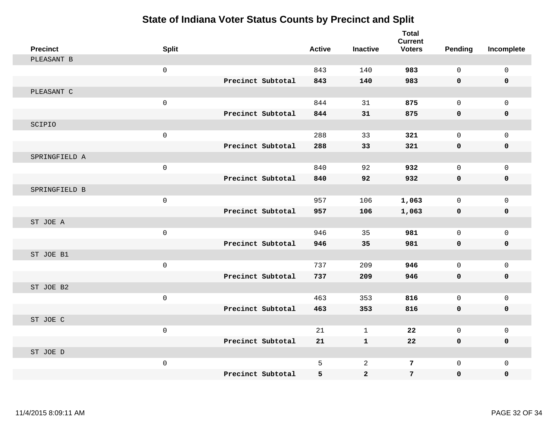| <b>Precinct</b> | <b>Split</b>        |                   | <b>Active</b> | <b>Inactive</b> | <b>Total</b><br><b>Current</b><br><b>Voters</b> | Pending      | Incomplete  |
|-----------------|---------------------|-------------------|---------------|-----------------|-------------------------------------------------|--------------|-------------|
| PLEASANT B      |                     |                   |               |                 |                                                 |              |             |
|                 | $\mathsf{O}\xspace$ |                   | 843           | 140             | 983                                             | $\mathsf{O}$ | $\mathsf 0$ |
|                 |                     | Precinct Subtotal | 843           | 140             | 983                                             | $\mathbf 0$  | 0           |
| PLEASANT C      |                     |                   |               |                 |                                                 |              |             |
|                 | $\mathsf{O}$        |                   | 844           | 31              | 875                                             | $\mathbf{0}$ | $\mathbf 0$ |
|                 |                     | Precinct Subtotal | 844           | 31              | 875                                             | 0            | 0           |
| SCIPIO          |                     |                   |               |                 |                                                 |              |             |
|                 | $\mathsf{O}$        |                   | 288           | 33              | 321                                             | $\mathbf 0$  | $\mathbf 0$ |
|                 |                     | Precinct Subtotal | 288           | 33              | 321                                             | 0            | 0           |
| SPRINGFIELD A   |                     |                   |               |                 |                                                 |              |             |
|                 | $\mathsf{O}\xspace$ |                   | 840           | 92              | 932                                             | $\mathbf{0}$ | $\mathbf 0$ |
|                 |                     | Precinct Subtotal | 840           | 92              | 932                                             | $\mathbf 0$  | 0           |
| SPRINGFIELD B   |                     |                   |               |                 |                                                 |              |             |
|                 | $\mathsf{O}$        |                   | 957           | 106             | 1,063                                           | $\mathbf{0}$ | $\mathbf 0$ |
|                 |                     | Precinct Subtotal | 957           | 106             | 1,063                                           | 0            | $\mathbf 0$ |
| ST JOE A        |                     |                   |               |                 |                                                 |              |             |
|                 | $\mathsf{O}\xspace$ |                   | 946           | 35              | 981                                             | $\mathbf 0$  | $\mathbf 0$ |
|                 |                     | Precinct Subtotal | 946           | 35              | 981                                             | 0            | 0           |
| ST JOE B1       |                     |                   |               |                 |                                                 |              |             |
|                 | $\mathsf{O}$        |                   | 737           | 209             | 946                                             | $\mathbf{0}$ | $\mathbf 0$ |
|                 |                     | Precinct Subtotal | 737           | 209             | 946                                             | 0            | $\mathbf 0$ |
| ST JOE B2       |                     |                   |               |                 |                                                 |              |             |
|                 | $\mathsf{O}$        |                   | 463           | 353             | 816                                             | $\mathbf{0}$ | $\mathbf 0$ |
|                 |                     | Precinct Subtotal | 463           | 353             | 816                                             | 0            | 0           |
| ST JOE C        |                     |                   |               |                 |                                                 |              |             |
|                 | $\mathsf{O}$        |                   | 21            | $\mathbf{1}$    | 22                                              | $\mathbf 0$  | $\mathbf 0$ |
|                 |                     | Precinct Subtotal | 21            | $\mathbf{1}$    | 22                                              | 0            | 0           |
| ST JOE D        |                     |                   |               |                 |                                                 |              |             |
|                 | $\mathsf{O}$        |                   | 5             | 2               | 7                                               | $\mathbf{0}$ | $\mathbf 0$ |
|                 |                     | Precinct Subtotal | 5             | $\mathbf{2}$    | $7\phantom{.}$                                  | $\mathbf{0}$ | 0           |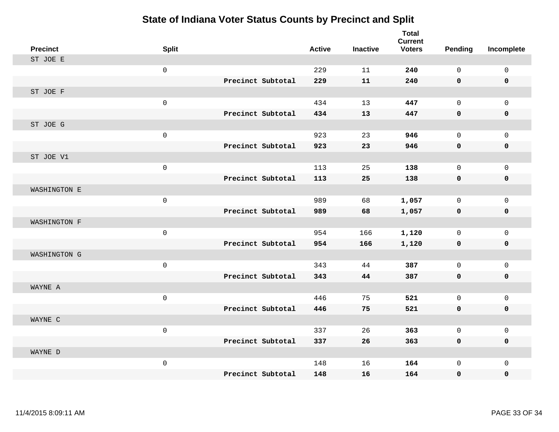| <b>Precinct</b> | <b>Split</b> |                   | <b>Active</b> | <b>Inactive</b> | <b>Total</b><br><b>Current</b><br><b>Voters</b> | Pending     | Incomplete   |
|-----------------|--------------|-------------------|---------------|-----------------|-------------------------------------------------|-------------|--------------|
| ST JOE E        |              |                   |               |                 |                                                 |             |              |
|                 | $\mathbf 0$  |                   | 229           | 11              | 240                                             | $\Omega$    | $\mathbf 0$  |
|                 |              | Precinct Subtotal | 229           | 11              | 240                                             | $\mathbf 0$ | $\mathbf 0$  |
| ST JOE F        |              |                   |               |                 |                                                 |             |              |
|                 | $\mathsf 0$  |                   | 434           | 13              | 447                                             | $\mathbf 0$ | $\mathbf 0$  |
|                 |              | Precinct Subtotal | 434           | 13              | 447                                             | $\mathbf 0$ | 0            |
| ST JOE G        |              |                   |               |                 |                                                 |             |              |
|                 | $\mathsf 0$  |                   | 923           | 23              | 946                                             | $\mathbf 0$ | $\mathbf 0$  |
|                 |              | Precinct Subtotal | 923           | 23              | 946                                             | $\mathbf 0$ | $\mathbf 0$  |
| ST JOE V1       |              |                   |               |                 |                                                 |             |              |
|                 | $\mathbf 0$  |                   | 113           | 25              | 138                                             | $\mathbf 0$ | $\mathbf 0$  |
|                 |              | Precinct Subtotal | 113           | 25              | 138                                             | $\mathbf 0$ | 0            |
| WASHINGTON E    |              |                   |               |                 |                                                 |             |              |
|                 | $\mathbf 0$  |                   | 989           | 68              | 1,057                                           | $\mathbf 0$ | $\mathbf 0$  |
|                 |              | Precinct Subtotal | 989           | 68              | 1,057                                           | $\mathbf 0$ | 0            |
| WASHINGTON F    |              |                   |               |                 |                                                 |             |              |
|                 | $\mathsf 0$  |                   | 954           | 166             | 1,120                                           | $\mathbf 0$ | $\mathbf 0$  |
|                 |              | Precinct Subtotal | 954           | 166             | 1,120                                           | 0           | 0            |
| WASHINGTON G    |              |                   |               |                 |                                                 |             |              |
|                 | $\mathsf 0$  |                   | 343           | 44              | 387                                             | $\mathbf 0$ | $\mathsf 0$  |
|                 |              | Precinct Subtotal | 343           | 44              | 387                                             | 0           | 0            |
| WAYNE A         |              |                   |               |                 |                                                 |             |              |
|                 | $\mathsf 0$  |                   | 446           | 75              | 521                                             | $\mathbf 0$ | $\mathbf 0$  |
|                 |              | Precinct Subtotal | 446           | 75              | 521                                             | 0           | 0            |
| WAYNE C         |              |                   |               |                 |                                                 |             |              |
|                 | $\mathbf 0$  |                   | 337           | 26              | 363                                             | $\mathbf 0$ | $\mathbf{0}$ |
|                 |              | Precinct Subtotal | 337           | 26              | 363                                             | 0           | 0            |
| WAYNE D         |              |                   |               |                 |                                                 |             |              |
|                 | $\mathsf 0$  |                   | 148           | 16              | 164                                             | $\mathbf 0$ | $\mathbf{0}$ |
|                 |              | Precinct Subtotal | 148           | 16              | 164                                             | $\mathbf 0$ | 0            |